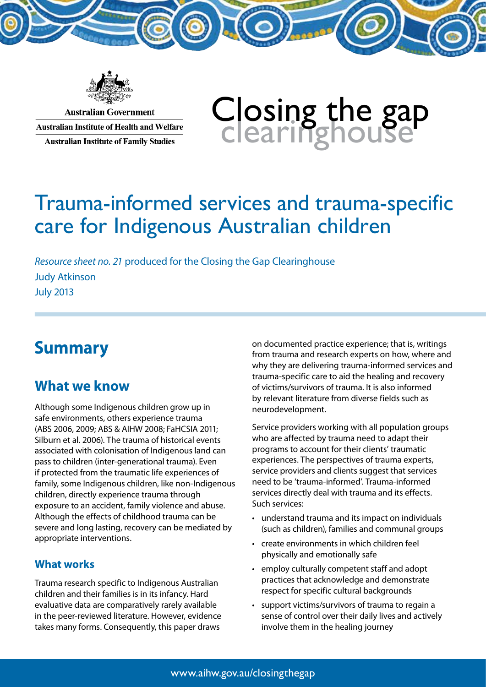

**Australian Government Australian Institute of Health and Welfare Australian Institute of Family Studies** 

# Closing the gap<br>clearinghouse

# Trauma-informed services and trauma-specific care for Indigenous Australian children

*Resource sheet no. 21* produced for the Closing the Gap Clearinghouse Judy Atkinson July 2013

# **Summary**

# **What we know**

Although some Indigenous children grow up in safe environments, others experience trauma (ABS 2006, 2009; ABS & AIHW 2008; FaHCSIA 2011; Silburn et al. 2006). The trauma of historical events associated with colonisation of Indigenous land can pass to children (inter-generational trauma). Even if protected from the traumatic life experiences of family, some Indigenous children, like non-Indigenous children, directly experience trauma through exposure to an accident, family violence and abuse. Although the effects of childhood trauma can be severe and long lasting, recovery can be mediated by appropriate interventions.

## **What works**

Trauma research specific to Indigenous Australian children and their families is in its infancy. Hard evaluative data are comparatively rarely available in the peer-reviewed literature. However, evidence takes many forms. Consequently, this paper draws

on documented practice experience; that is, writings from trauma and research experts on how, where and why they are delivering trauma-informed services and trauma-specific care to aid the healing and recovery of victims/survivors of trauma. It is also informed by relevant literature from diverse fields such as neurodevelopment.

Service providers working with all population groups who are affected by trauma need to adapt their programs to account for their clients' traumatic experiences. The perspectives of trauma experts, service providers and clients suggest that services need to be 'trauma-informed'. Trauma-informed services directly deal with trauma and its effects. Such services:

- understand trauma and its impact on individuals (such as children), families and communal groups
- • create environments in which children feel physically and emotionally safe
- • employ culturally competent staff and adopt practices that acknowledge and demonstrate respect for specific cultural backgrounds
- • support victims/survivors of trauma to regain a sense of control over their daily lives and actively involve them in the healing journey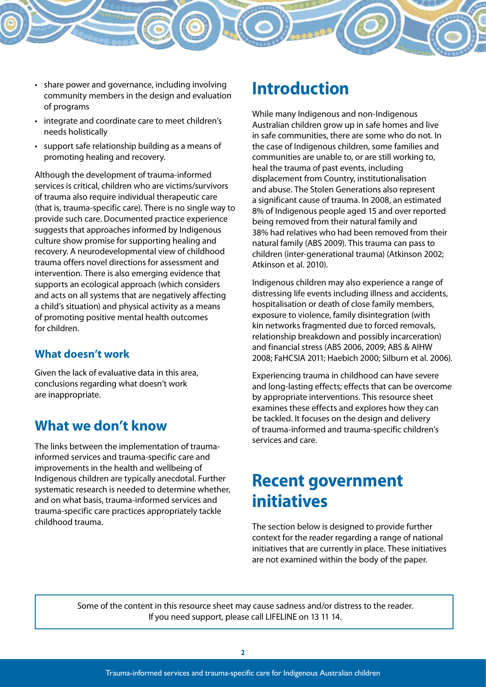- - share power and governance, including involving community members in the design and evaluation of programs
	- integrate and coordinate care to meet children's needs holistically
	- • support safe relationship building as a means of promoting healing and recovery.

Although the development of trauma-informed services is critical, children who are victims/survivors of trauma also require individual therapeutic care (that is, trauma-specific care). There is no single way to provide such care. Documented practice experience suggests that approaches informed by Indigenous culture show promise for supporting healing and recovery. A neurodevelopmental view of childhood trauma offers novel directions for assessment and intervention. There is also emerging evidence that supports an ecological approach (which considers and acts on all systems that are negatively affecting a child's situation) and physical activity as a means of promoting positive mental health outcomes for children.

## **What doesn't work**

Given the lack of evaluative data in this area, conclusions regarding what doesn't work are inappropriate.

# **What we don't know**

The links between the implementation of traumainformed services and trauma-specific care and improvements in the health and wellbeing of Indigenous children are typically anecdotal. Further systematic research is needed to determine whether, and on what basis, trauma-informed services and trauma-specific care practices appropriately tackle childhood trauma.

# **Introduction**

While many Indigenous and non-Indigenous Australian children grow up in safe homes and live in safe communities, there are some who do not. In the case of Indigenous children, some families and communities are unable to, or are still working to, heal the trauma of past events, including displacement from Country, institutionalisation and abuse. The Stolen Generations also represent a significant cause of trauma. In 2008, an estimated 8% of Indigenous people aged 15 and over reported being removed from their natural family and 38% had relatives who had been removed from their natural family (ABS 2009). This trauma can pass to children (inter-generational trauma) (Atkinson 2002; Atkinson et al. 2010).

Indigenous children may also experience a range of distressing life events including illness and accidents, hospitalisation or death of close family members, exposure to violence, family disintegration (with kin networks fragmented due to forced removals, relationship breakdown and possibly incarceration) and financial stress (ABS 2006, 2009; ABS & AIHW 2008; FaHCSIA 2011; Haebich 2000; Silburn et al. 2006).

Experiencing trauma in childhood can have severe and long-lasting effects; effects that can be overcome by appropriate interventions. This resource sheet examines these effects and explores how they can be tackled. It focuses on the design and delivery of trauma-informed and trauma-specific children's services and care.

# **Recent government initiatives**

The section below is designed to provide further context for the reader regarding a range of national initiatives that are currently in place. These initiatives are not examined within the body of the paper.

Some of the content in this resource sheet may cause sadness and/or distress to the reader. If you need support, please call LIFELINE on 13 11 14.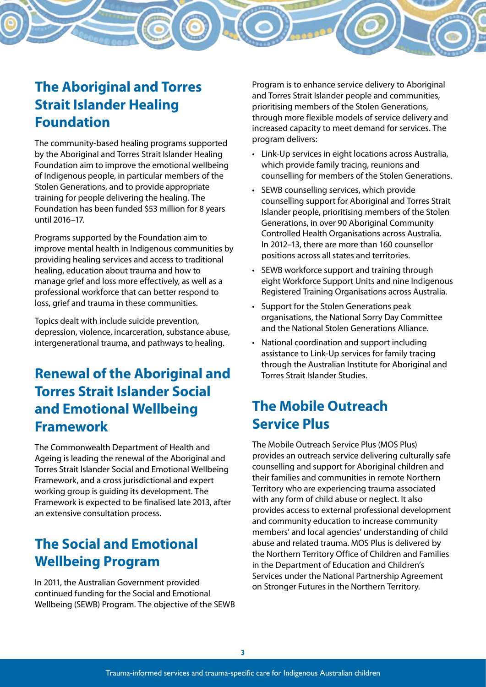# **The Aboriginal and Torres Strait Islander Healing Foundation**

The community-based healing programs supported by the Aboriginal and Torres Strait Islander Healing Foundation aim to improve the emotional wellbeing of Indigenous people, in particular members of the Stolen Generations, and to provide appropriate training for people delivering the healing. The Foundation has been funded \$53 million for 8 years until 2016–17.

Programs supported by the Foundation aim to improve mental health in Indigenous communities by providing healing services and access to traditional healing, education about trauma and how to manage grief and loss more effectively, as well as a professional workforce that can better respond to loss, grief and trauma in these communities.

Topics dealt with include suicide prevention, depression, violence, incarceration, substance abuse, intergenerational trauma, and pathways to healing.

# **Renewal of the Aboriginal and Torres Strait Islander Social and Emotional Wellbeing Framework**

The Commonwealth Department of Health and Ageing is leading the renewal of the Aboriginal and Torres Strait Islander Social and Emotional Wellbeing Framework, and a cross jurisdictional and expert working group is guiding its development. The Framework is expected to be finalised late 2013, after an extensive consultation process.

# **The Social and Emotional Wellbeing Program**

In 2011, the Australian Government provided continued funding for the Social and Emotional Wellbeing (SEWB) Program. The objective of the SEWB

Program is to enhance service delivery to Aboriginal and Torres Strait Islander people and communities, prioritising members of the Stolen Generations, through more flexible models of service delivery and increased capacity to meet demand for services. The program delivers:

- Link-Up services in eight locations across Australia, which provide family tracing, reunions and counselling for members of the Stolen Generations.
- • SEWB counselling services, which provide counselling support for Aboriginal and Torres Strait Islander people, prioritising members of the Stolen Generations, in over 90 Aboriginal Community Controlled Health Organisations across Australia. In 2012–13, there are more than 160 counsellor positions across all states and territories.
- SEWB workforce support and training through eight Workforce Support Units and nine Indigenous Registered Training Organisations across Australia.
- Support for the Stolen Generations peak organisations, the National Sorry Day Committee and the National Stolen Generations Alliance.
- National coordination and support including assistance to Link-Up services for family tracing through the Australian Institute for Aboriginal and Torres Strait Islander Studies.

# **The Mobile Outreach Service Plus**

The Mobile Outreach Service Plus (MOS Plus) provides an outreach service delivering culturally safe counselling and support for Aboriginal children and their families and communities in remote Northern Territory who are experiencing trauma associated with any form of child abuse or neglect. It also provides access to external professional development and community education to increase community members' and local agencies' understanding of child abuse and related trauma. MOS Plus is delivered by the Northern Territory Office of Children and Families in the Department of Education and Children's Services under the National Partnership Agreement on Stronger Futures in the Northern Territory.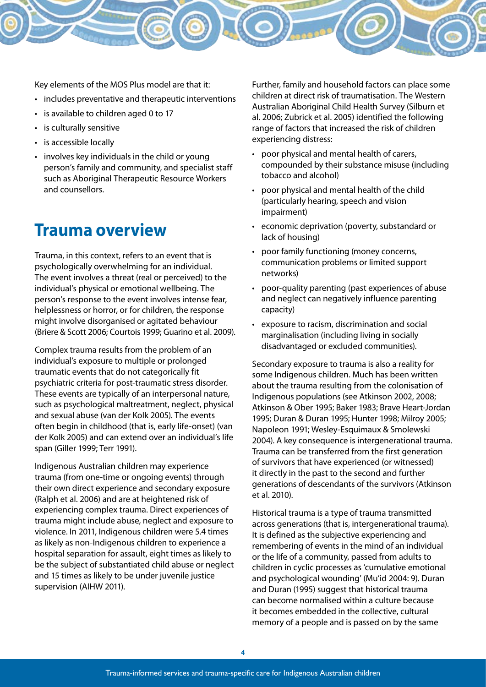Key elements of the MOS Plus model are that it:

- includes preventative and therapeutic interventions
- • is available to children aged 0 to 17
- • is culturally sensitive
- is accessible locally
- involves key individuals in the child or young person's family and community, and specialist staff such as Aboriginal Therapeutic Resource Workers and counsellors.

# **Trauma overview**

Trauma, in this context, refers to an event that is psychologically overwhelming for an individual. The event involves a threat (real or perceived) to the individual's physical or emotional wellbeing. The person's response to the event involves intense fear, helplessness or horror, or for children, the response might involve disorganised or agitated behaviour (Briere & Scott 2006; Courtois 1999; Guarino et al. 2009).

Complex trauma results from the problem of an individual's exposure to multiple or prolonged traumatic events that do not categorically fit psychiatric criteria for post-traumatic stress disorder. These events are typically of an interpersonal nature, such as psychological maltreatment, neglect, physical and sexual abuse (van der Kolk 2005). The events often begin in childhood (that is, early life-onset) (van der Kolk 2005) and can extend over an individual's life span (Giller 1999; Terr 1991).

Indigenous Australian children may experience trauma (from one-time or ongoing events) through their own direct experience and secondary exposure (Ralph et al. 2006) and are at heightened risk of experiencing complex trauma. Direct experiences of trauma might include abuse, neglect and exposure to violence. In 2011, Indigenous children were 5.4 times as likely as non-Indigenous children to experience a hospital separation for assault, eight times as likely to be the subject of substantiated child abuse or neglect and 15 times as likely to be under juvenile justice supervision (AIHW 2011).

Further, family and household factors can place some children at direct risk of traumatisation. The Western Australian Aboriginal Child Health Survey (Silburn et al. 2006; Zubrick et al. 2005) identified the following range of factors that increased the risk of children experiencing distress:

- poor physical and mental health of carers, compounded by their substance misuse (including tobacco and alcohol)
- • poor physical and mental health of the child (particularly hearing, speech and vision impairment)
- • economic deprivation (poverty, substandard or lack of housing)
- poor family functioning (money concerns, communication problems or limited support networks)
- poor-quality parenting (past experiences of abuse and neglect can negatively influence parenting capacity)
- exposure to racism, discrimination and social marginalisation (including living in socially disadvantaged or excluded communities).

Secondary exposure to trauma is also a reality for some Indigenous children. Much has been written about the trauma resulting from the colonisation of Indigenous populations (see Atkinson 2002, 2008; Atkinson & Ober 1995; Baker 1983; Brave Heart-Jordan 1995; Duran & Duran 1995; Hunter 1998; Milroy 2005; Napoleon 1991; Wesley-Esquimaux & Smolewski 2004). A key consequence is intergenerational trauma. Trauma can be transferred from the first generation of survivors that have experienced (or witnessed) it directly in the past to the second and further generations of descendants of the survivors (Atkinson et al. 2010).

Historical trauma is a type of trauma transmitted across generations (that is, intergenerational trauma). It is defined as the subjective experiencing and remembering of events in the mind of an individual or the life of a community, passed from adults to children in cyclic processes as 'cumulative emotional and psychological wounding' (Mu'id 2004: 9). Duran and Duran (1995) suggest that historical trauma can become normalised within a culture because it becomes embedded in the collective, cultural memory of a people and is passed on by the same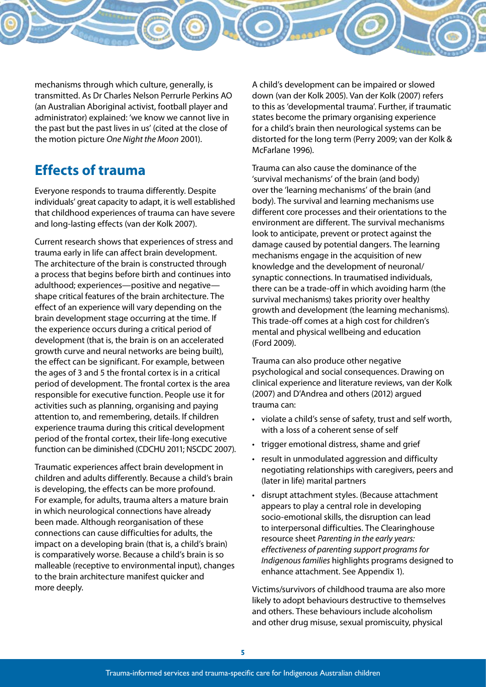

mechanisms through which culture, generally, is transmitted. As Dr Charles Nelson Perrurle Perkins AO (an Australian Aboriginal activist, football player and administrator) explained: 'we know we cannot live in the past but the past lives in us' (cited at the close of the motion picture *One Night the Moon* 2001).

# **Effects of trauma**

Everyone responds to trauma differently. Despite individuals' great capacity to adapt, it is well established that childhood experiences of trauma can have severe and long-lasting effects (van der Kolk 2007).

Current research shows that experiences of stress and trauma early in life can affect brain development. The architecture of the brain is constructed through a process that begins before birth and continues into adulthood; experiences—positive and negative shape critical features of the brain architecture. The effect of an experience will vary depending on the brain development stage occurring at the time. If the experience occurs during a critical period of development (that is, the brain is on an accelerated growth curve and neural networks are being built), the effect can be significant. For example, between the ages of 3 and 5 the frontal cortex is in a critical period of development. The frontal cortex is the area responsible for executive function. People use it for activities such as planning, organising and paying attention to, and remembering, details. If children experience trauma during this critical development period of the frontal cortex, their life-long executive function can be diminished (CDCHU 2011; NSCDC 2007).

Traumatic experiences affect brain development in children and adults differently. Because a child's brain is developing, the effects can be more profound. For example, for adults, trauma alters a mature brain in which neurological connections have already been made. Although reorganisation of these connections can cause difficulties for adults, the impact on a developing brain (that is, a child's brain) is comparatively worse. Because a child's brain is so malleable (receptive to environmental input), changes to the brain architecture manifest quicker and more deeply.

A child's development can be impaired or slowed down (van der Kolk 2005). Van der Kolk (2007) refers to this as 'developmental trauma'. Further, if traumatic states become the primary organising experience for a child's brain then neurological systems can be distorted for the long term (Perry 2009; van der Kolk & McFarlane 1996).

Trauma can also cause the dominance of the 'survival mechanisms' of the brain (and body) over the 'learning mechanisms' of the brain (and body). The survival and learning mechanisms use different core processes and their orientations to the environment are different. The survival mechanisms look to anticipate, prevent or protect against the damage caused by potential dangers. The learning mechanisms engage in the acquisition of new knowledge and the development of neuronal/ synaptic connections. In traumatised individuals, there can be a trade-off in which avoiding harm (the survival mechanisms) takes priority over healthy growth and development (the learning mechanisms). This trade-off comes at a high cost for children's mental and physical wellbeing and education (Ford 2009).

Trauma can also produce other negative psychological and social consequences. Drawing on clinical experience and literature reviews, van der Kolk (2007) and D'Andrea and others (2012) argued trauma can:

- • violate a child's sense of safety, trust and self worth, with a loss of a coherent sense of self
- trigger emotional distress, shame and grief
- • result in unmodulated aggression and difficulty negotiating relationships with caregivers, peers and (later in life) marital partners
- • disrupt attachment styles. (Because attachment appears to play a central role in developing socio-emotional skills, the disruption can lead to interpersonal difficulties. The Clearinghouse resource sheet *Parenting in the early years: effectiveness of parenting support programs for Indigenous families* highlights programs designed to enhance attachment. See Appendix 1).

Victims/survivors of childhood trauma are also more likely to adopt behaviours destructive to themselves and others. These behaviours include alcoholism and other drug misuse, sexual promiscuity, physical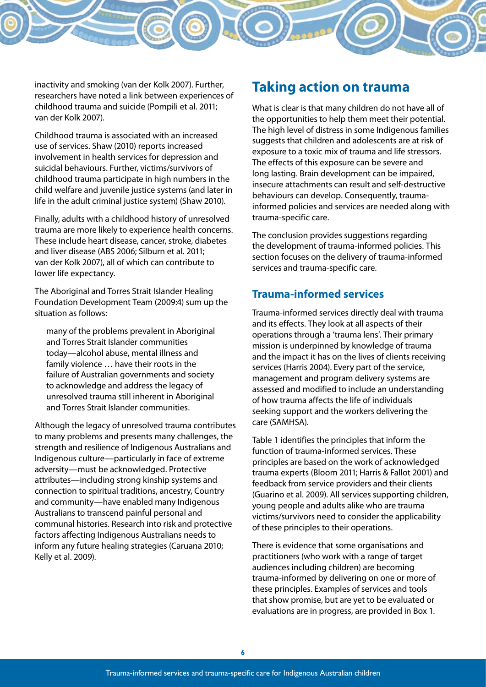inactivity and smoking (van der Kolk 2007). Further, researchers have noted a link between experiences of childhood trauma and suicide (Pompili et al. 2011;

> Childhood trauma is associated with an increased use of services. Shaw (2010) reports increased involvement in health services for depression and suicidal behaviours. Further, victims/survivors of childhood trauma participate in high numbers in the child welfare and juvenile justice systems (and later in life in the adult criminal justice system) (Shaw 2010).

van der Kolk 2007).

Finally, adults with a childhood history of unresolved trauma are more likely to experience health concerns. These include heart disease, cancer, stroke, diabetes and liver disease (ABS 2006; Silburn et al. 2011; van der Kolk 2007), all of which can contribute to lower life expectancy.

The Aboriginal and Torres Strait Islander Healing Foundation Development Team (2009:4) sum up the situation as follows:

many of the problems prevalent in Aboriginal and Torres Strait Islander communities today—alcohol abuse, mental illness and family violence … have their roots in the failure of Australian governments and society to acknowledge and address the legacy of unresolved trauma still inherent in Aboriginal and Torres Strait Islander communities.

Although the legacy of unresolved trauma contributes to many problems and presents many challenges, the strength and resilience of Indigenous Australians and Indigenous culture—particularly in face of extreme adversity—must be acknowledged. Protective attributes—including strong kinship systems and connection to spiritual traditions, ancestry, Country and community—have enabled many Indigenous Australians to transcend painful personal and communal histories. Research into risk and protective factors affecting Indigenous Australians needs to inform any future healing strategies (Caruana 2010; Kelly et al. 2009).

## **Taking action on trauma**

What is clear is that many children do not have all of the opportunities to help them meet their potential. The high level of distress in some Indigenous families suggests that children and adolescents are at risk of exposure to a toxic mix of trauma and life stressors. The effects of this exposure can be severe and long lasting. Brain development can be impaired, insecure attachments can result and self-destructive behaviours can develop. Consequently, traumainformed policies and services are needed along with trauma-specific care.

The conclusion provides suggestions regarding the development of trauma-informed policies. This section focuses on the delivery of trauma-informed services and trauma-specific care.

## **Trauma-informed services**

Trauma-informed services directly deal with trauma and its effects. They look at all aspects of their operations through a 'trauma lens'. Their primary mission is underpinned by knowledge of trauma and the impact it has on the lives of clients receiving services (Harris 2004). Every part of the service, management and program delivery systems are assessed and modified to include an understanding of how trauma affects the life of individuals seeking support and the workers delivering the care (SAMHSA).

Table 1 identifies the principles that inform the function of trauma-informed services. These principles are based on the work of acknowledged trauma experts (Bloom 2011; Harris & Fallot 2001) and feedback from service providers and their clients (Guarino et al. 2009). All services supporting children, young people and adults alike who are trauma victims/survivors need to consider the applicability of these principles to their operations.

There is evidence that some organisations and practitioners (who work with a range of target audiences including children) are becoming trauma-informed by delivering on one or more of these principles. Examples of services and tools that show promise, but are yet to be evaluated or evaluations are in progress, are provided in Box 1.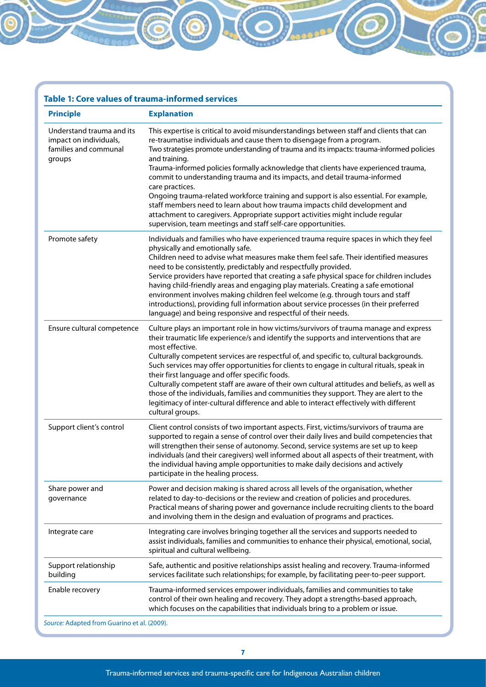## **Table 1: Core values of trauma-informed services**

| <b>Principle</b>                                                                       | <b>Explanation</b>                                                                                                                                                                                                                                                                                                                                                                                                                                                                                                                                                                                                                                                                                                                                    |
|----------------------------------------------------------------------------------------|-------------------------------------------------------------------------------------------------------------------------------------------------------------------------------------------------------------------------------------------------------------------------------------------------------------------------------------------------------------------------------------------------------------------------------------------------------------------------------------------------------------------------------------------------------------------------------------------------------------------------------------------------------------------------------------------------------------------------------------------------------|
| Understand trauma and its<br>impact on individuals,<br>families and communal<br>groups | This expertise is critical to avoid misunderstandings between staff and clients that can<br>re-traumatise individuals and cause them to disengage from a program.<br>Two strategies promote understanding of trauma and its impacts: trauma-informed policies<br>and training.                                                                                                                                                                                                                                                                                                                                                                                                                                                                        |
|                                                                                        | Trauma-informed policies formally acknowledge that clients have experienced trauma,<br>commit to understanding trauma and its impacts, and detail trauma-informed<br>care practices.<br>Ongoing trauma-related workforce training and support is also essential. For example,                                                                                                                                                                                                                                                                                                                                                                                                                                                                         |
|                                                                                        | staff members need to learn about how trauma impacts child development and<br>attachment to caregivers. Appropriate support activities might include regular<br>supervision, team meetings and staff self-care opportunities.                                                                                                                                                                                                                                                                                                                                                                                                                                                                                                                         |
| Promote safety                                                                         | Individuals and families who have experienced trauma require spaces in which they feel<br>physically and emotionally safe.<br>Children need to advise what measures make them feel safe. Their identified measures<br>need to be consistently, predictably and respectfully provided.<br>Service providers have reported that creating a safe physical space for children includes<br>having child-friendly areas and engaging play materials. Creating a safe emotional                                                                                                                                                                                                                                                                              |
|                                                                                        | environment involves making children feel welcome (e.g. through tours and staff<br>introductions), providing full information about service processes (in their preferred<br>language) and being responsive and respectful of their needs.                                                                                                                                                                                                                                                                                                                                                                                                                                                                                                            |
| Ensure cultural competence                                                             | Culture plays an important role in how victims/survivors of trauma manage and express<br>their traumatic life experience/s and identify the supports and interventions that are<br>most effective.<br>Culturally competent services are respectful of, and specific to, cultural backgrounds.<br>Such services may offer opportunities for clients to engage in cultural rituals, speak in<br>their first language and offer specific foods.<br>Culturally competent staff are aware of their own cultural attitudes and beliefs, as well as<br>those of the individuals, families and communities they support. They are alert to the<br>legitimacy of inter-cultural difference and able to interact effectively with different<br>cultural groups. |
| Support client's control                                                               | Client control consists of two important aspects. First, victims/survivors of trauma are<br>supported to regain a sense of control over their daily lives and build competencies that<br>will strengthen their sense of autonomy. Second, service systems are set up to keep<br>individuals (and their caregivers) well informed about all aspects of their treatment, with<br>the individual having ample opportunities to make daily decisions and actively<br>participate in the healing process.                                                                                                                                                                                                                                                  |
| Share power and<br>governance                                                          | Power and decision making is shared across all levels of the organisation, whether<br>related to day-to-decisions or the review and creation of policies and procedures.<br>Practical means of sharing power and governance include recruiting clients to the board<br>and involving them in the design and evaluation of programs and practices.                                                                                                                                                                                                                                                                                                                                                                                                     |
| Integrate care                                                                         | Integrating care involves bringing together all the services and supports needed to<br>assist individuals, families and communities to enhance their physical, emotional, social,<br>spiritual and cultural wellbeing.                                                                                                                                                                                                                                                                                                                                                                                                                                                                                                                                |
| Support relationship<br>building                                                       | Safe, authentic and positive relationships assist healing and recovery. Trauma-informed<br>services facilitate such relationships; for example, by facilitating peer-to-peer support.                                                                                                                                                                                                                                                                                                                                                                                                                                                                                                                                                                 |
| Enable recovery                                                                        | Trauma-informed services empower individuals, families and communities to take<br>control of their own healing and recovery. They adopt a strengths-based approach,<br>which focuses on the capabilities that individuals bring to a problem or issue.                                                                                                                                                                                                                                                                                                                                                                                                                                                                                                |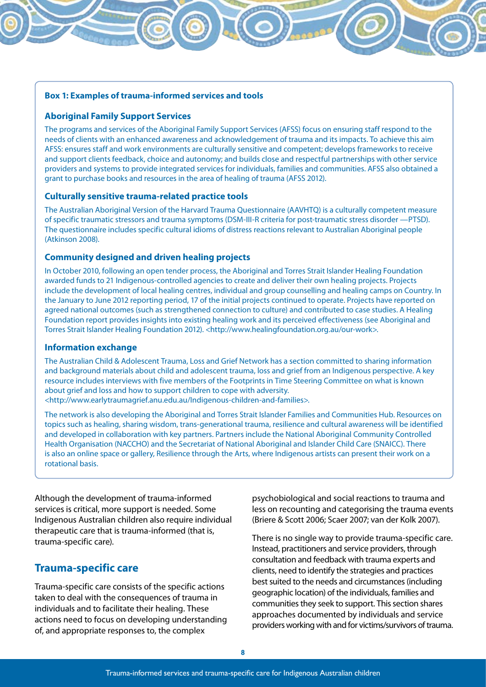#### **Box 1: Examples of trauma-informed services and tools**

#### **Aboriginal Family Support Services**

The programs and services of the Aboriginal Family Support Services (AFSS) focus on ensuring staff respond to the needs of clients with an enhanced awareness and acknowledgement of trauma and its impacts. To achieve this aim AFSS: ensures staff and work environments are culturally sensitive and competent; develops frameworks to receive and support clients feedback, choice and autonomy; and builds close and respectful partnerships with other service providers and systems to provide integrated services for individuals, families and communities. AFSS also obtained a grant to purchase books and resources in the area of healing of trauma (AFSS 2012).

#### **Culturally sensitive trauma-related practice tools**

The Australian Aboriginal Version of the Harvard Trauma Questionnaire (AAVHTQ) is a culturally competent measure of specific traumatic stressors and trauma symptoms (DSM-III-R criteria for post-traumatic stress disorder —PTSD). The questionnaire includes specific cultural idioms of distress reactions relevant to Australian Aboriginal people (Atkinson 2008).

#### **Community designed and driven healing projects**

In October 2010, following an open tender process, the Aboriginal and Torres Strait Islander Healing Foundation awarded funds to 21 Indigenous-controlled agencies to create and deliver their own healing projects. Projects include the development of local healing centres, individual and group counselling and healing camps on Country. In the January to June 2012 reporting period, 17 of the initial projects continued to operate. Projects have reported on agreed national outcomes (such as strengthened connection to culture) and contributed to case studies. A Healing Foundation report provides insights into existing healing work and its perceived effectiveness (see Aboriginal and Torres Strait Islander Healing Foundation 2012). <http://www.healingfoundation.org.au/our-work>.

#### **Information exchange**

The Australian Child & Adolescent Trauma, Loss and Grief Network has a section committed to sharing information and background materials about child and adolescent trauma, loss and grief from an Indigenous perspective. A key resource includes interviews with five members of the Footprints in Time Steering Committee on what is known about grief and loss and how to support children to cope with adversity. <http://www.earlytraumagrief.anu.edu.au/Indigenous-children-and-families>.

The network is also developing the Aboriginal and Torres Strait Islander Families and Communities Hub. Resources on topics such as healing, sharing wisdom, trans-generational trauma, resilience and cultural awareness will be identified and developed in collaboration with key partners. Partners include the National Aboriginal Community Controlled Health Organisation (NACCHO) and the Secretariat of National Aboriginal and Islander Child Care (SNAICC). There is also an online space or gallery, Resilience through the Arts, where Indigenous artists can present their work on a rotational basis.

Although the development of trauma-informed services is critical, more support is needed. Some Indigenous Australian children also require individual therapeutic care that is trauma-informed (that is, trauma-specific care).

#### **Trauma-specific care**

Trauma-specific care consists of the specific actions taken to deal with the consequences of trauma in individuals and to facilitate their healing. These actions need to focus on developing understanding of, and appropriate responses to, the complex

psychobiological and social reactions to trauma and less on recounting and categorising the trauma events (Briere & Scott 2006; Scaer 2007; van der Kolk 2007).

There is no single way to provide trauma-specific care. Instead, practitioners and service providers, through consultation and feedback with trauma experts and clients, need to identify the strategies and practices best suited to the needs and circumstances (including geographic location) of the individuals, families and communities they seek to support. This section shares approaches documented by individuals and service providers working with and for victims/survivors of trauma.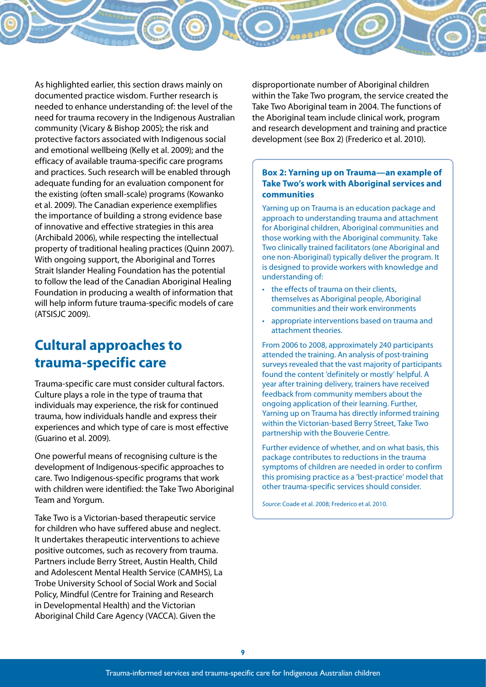As highlighted earlier, this section draws mainly on documented practice wisdom. Further research is needed to enhance understanding of: the level of the need for trauma recovery in the Indigenous Australian community (Vicary & Bishop 2005); the risk and protective factors associated with Indigenous social and emotional wellbeing (Kelly et al. 2009); and the efficacy of available trauma-specific care programs and practices. Such research will be enabled through adequate funding for an evaluation component for the existing (often small-scale) programs (Kowanko et al. 2009). The Canadian experience exemplifies the importance of building a strong evidence base of innovative and effective strategies in this area (Archibald 2006), while respecting the intellectual property of traditional healing practices (Quinn 2007). With ongoing support, the Aboriginal and Torres Strait Islander Healing Foundation has the potential to follow the lead of the Canadian Aboriginal Healing Foundation in producing a wealth of information that will help inform future trauma-specific models of care (ATSISJC 2009).

# **Cultural approaches to trauma-specific care**

Trauma-specific care must consider cultural factors. Culture plays a role in the type of trauma that individuals may experience, the risk for continued trauma, how individuals handle and express their experiences and which type of care is most effective (Guarino et al. 2009).

One powerful means of recognising culture is the development of Indigenous-specific approaches to care. Two Indigenous-specific programs that work with children were identified: the Take Two Aboriginal Team and Yorgum.

Take Two is a Victorian-based therapeutic service for children who have suffered abuse and neglect. It undertakes therapeutic interventions to achieve positive outcomes, such as recovery from trauma. Partners include Berry Street, Austin Health, Child and Adolescent Mental Health Service (CAMHS), La Trobe University School of Social Work and Social Policy, Mindful (Centre for Training and Research in Developmental Health) and the Victorian Aboriginal Child Care Agency (VACCA). Given the

disproportionate number of Aboriginal children within the Take Two program, the service created the Take Two Aboriginal team in 2004. The functions of the Aboriginal team include clinical work, program and research development and training and practice development (see Box 2) (Frederico et al. 2010).

#### **Box 2: Yarning up on Trauma—an example of Take Two's work with Aboriginal services and communities**

Yarning up on Trauma is an education package and approach to understanding trauma and attachment for Aboriginal children, Aboriginal communities and those working with the Aboriginal community. Take Two clinically trained facilitators (one Aboriginal and one non-Aboriginal) typically deliver the program. It is designed to provide workers with knowledge and understanding of:

- the effects of trauma on their clients, themselves as Aboriginal people, Aboriginal communities and their work environments
- • appropriate interventions based on trauma and attachment theories.

From 2006 to 2008, approximately 240 participants attended the training. An analysis of post-training surveys revealed that the vast majority of participants found the content 'definitely or mostly' helpful. A year after training delivery, trainers have received feedback from community members about the ongoing application of their learning. Further, Yarning up on Trauma has directly informed training within the Victorian-based Berry Street, Take Two partnership with the Bouverie Centre.

Further evidence of whether, and on what basis, this package contributes to reductions in the trauma symptoms of children are needed in order to confirm this promising practice as a 'best-practice' model that other trauma-specific services should consider.

*Source:* Coade et al. 2008; Frederico et al. 2010.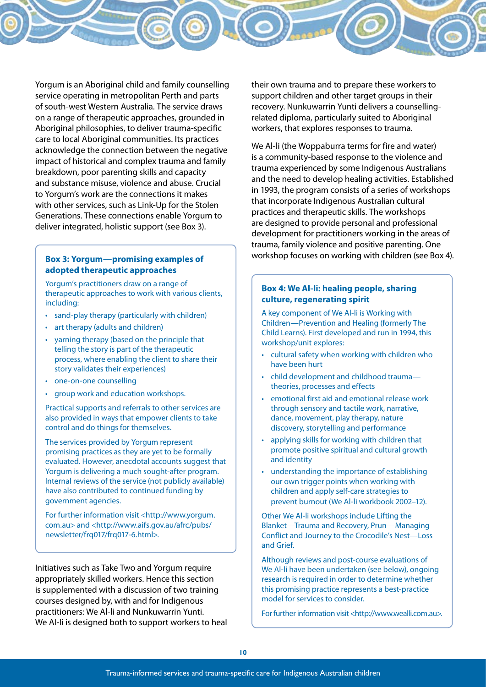Yorgum is an Aboriginal child and family counselling service operating in metropolitan Perth and parts of south-west Western Australia. The service draws on a range of therapeutic approaches, grounded in Aboriginal philosophies, to deliver trauma-specific care to local Aboriginal communities. Its practices acknowledge the connection between the negative impact of historical and complex trauma and family breakdown, poor parenting skills and capacity and substance misuse, violence and abuse. Crucial to Yorgum's work are the connections it makes with other services, such as Link-Up for the Stolen Generations. These connections enable Yorgum to deliver integrated, holistic support (see Box 3).

#### **Box 3: Yorgum—promising examples of adopted therapeutic approaches**

Yorgum's practitioners draw on a range of therapeutic approaches to work with various clients, including:

- • sand-play therapy (particularly with children)
- art therapy (adults and children)
- varning therapy (based on the principle that telling the story is part of the therapeutic process, where enabling the client to share their story validates their experiences)
- • one-on-one counselling
- group work and education workshops.

Practical supports and referrals to other services are also provided in ways that empower clients to take control and do things for themselves.

The services provided by Yorgum represent promising practices as they are yet to be formally evaluated. However, anecdotal accounts suggest that Yorgum is delivering a much sought-after program. Internal reviews of the service (not publicly available) have also contributed to continued funding by government agencies.

For further information visit <http://www.yorgum. com.au> and <http://www.aifs.gov.au/afrc/pubs/ newsletter/frq017/frq017-6.html>.

Initiatives such as Take Two and Yorgum require appropriately skilled workers. Hence this section is supplemented with a discussion of two training courses designed by, with and for Indigenous practitioners: We Al-li and Nunkuwarrin Yunti. We Al-li is designed both to support workers to heal their own trauma and to prepare these workers to support children and other target groups in their recovery. Nunkuwarrin Yunti delivers a counsellingrelated diploma, particularly suited to Aboriginal workers, that explores responses to trauma.

We Al-li (the Woppaburra terms for fire and water) is a community-based response to the violence and trauma experienced by some Indigenous Australians and the need to develop healing activities. Established in 1993, the program consists of a series of workshops that incorporate Indigenous Australian cultural practices and therapeutic skills. The workshops are designed to provide personal and professional development for practitioners working in the areas of trauma, family violence and positive parenting. One workshop focuses on working with children (see Box 4).

#### **Box 4: We Al-li: healing people, sharing culture, regenerating spirit**

A key component of We Al-li is Working with Children—Prevention and Healing (formerly The Child Learns). First developed and run in 1994, this workshop/unit explores:

- • cultural safety when working with children who have been hurt
- child development and childhood traumatheories, processes and effects
- • emotional first aid and emotional release work through sensory and tactile work, narrative, dance, movement, play therapy, nature discovery, storytelling and performance
- applying skills for working with children that promote positive spiritual and cultural growth and identity
- understanding the importance of establishing our own trigger points when working with children and apply self-care strategies to prevent burnout (We Al-li workbook 2002–12).

Other We Al-li workshops include Lifting the Blanket—Trauma and Recovery, Prun—Managing Conflict and Journey to the Crocodile's Nest—Loss and Grief.

Although reviews and post-course evaluations of We Al-li have been undertaken (see below), ongoing research is required in order to determine whether this promising practice represents a best-practice model for services to consider.

For further information visit <http://www.wealli.com.au>.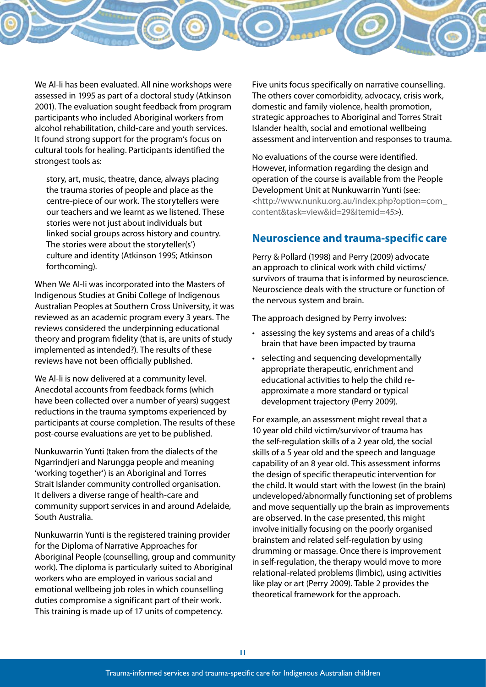We Al-li has been evaluated. All nine workshops were assessed in 1995 as part of a doctoral study (Atkinson 2001). The evaluation sought feedback from program participants who included Aboriginal workers from alcohol rehabilitation, child-care and youth services. It found strong support for the program's focus on cultural tools for healing. Participants identified the strongest tools as:

story, art, music, theatre, dance, always placing the trauma stories of people and place as the centre-piece of our work. The storytellers were our teachers and we learnt as we listened. These stories were not just about individuals but linked social groups across history and country. The stories were about the storyteller(s') culture and identity (Atkinson 1995; Atkinson forthcoming).

When We Al-li was incorporated into the Masters of Indigenous Studies at Gnibi College of Indigenous Australian Peoples at Southern Cross University, it was reviewed as an academic program every 3 years. The reviews considered the underpinning educational theory and program fidelity (that is, are units of study implemented as intended?). The results of these reviews have not been officially published.

We Al-li is now delivered at a community level. Anecdotal accounts from feedback forms (which have been collected over a number of years) suggest reductions in the trauma symptoms experienced by participants at course completion. The results of these post-course evaluations are yet to be published.

Nunkuwarrin Yunti (taken from the dialects of the Ngarrindjeri and Narungga people and meaning 'working together') is an Aboriginal and Torres Strait Islander community controlled organisation. It delivers a diverse range of health-care and community support services in and around Adelaide, South Australia.

Nunkuwarrin Yunti is the registered training provider for the Diploma of Narrative Approaches for Aboriginal People (counselling, group and community work). The diploma is particularly suited to Aboriginal workers who are employed in various social and emotional wellbeing job roles in which counselling duties compromise a significant part of their work. This training is made up of 17 units of competency.

Five units focus specifically on narrative counselling. The others cover comorbidity, advocacy, crisis work, domestic and family violence, health promotion, strategic approaches to Aboriginal and Torres Strait Islander health, social and emotional wellbeing assessment and intervention and responses to trauma.

No evaluations of the course were identified. However, information regarding the design and operation of the course is available from the People Development Unit at Nunkuwarrin Yunti (see: <http://www.nunku.org.au/index.php?option=com\_ content&task=view&id=29&Itemid=45>).

### **Neuroscience and trauma-specific care**

Perry & Pollard (1998) and Perry (2009) advocate an approach to clinical work with child victims/ survivors of trauma that is informed by neuroscience. Neuroscience deals with the structure or function of the nervous system and brain.

The approach designed by Perry involves:

- • assessing the key systems and areas of a child's brain that have been impacted by trauma
- selecting and sequencing developmentally appropriate therapeutic, enrichment and educational activities to help the child reapproximate a more standard or typical development trajectory (Perry 2009).

For example, an assessment might reveal that a 10 year old child victim/survivor of trauma has the self-regulation skills of a 2 year old, the social skills of a 5 year old and the speech and language capability of an 8 year old. This assessment informs the design of specific therapeutic intervention for the child. It would start with the lowest (in the brain) undeveloped/abnormally functioning set of problems and move sequentially up the brain as improvements are observed. In the case presented, this might involve initially focusing on the poorly organised brainstem and related self-regulation by using drumming or massage. Once there is improvement in self-regulation, the therapy would move to more relational-related problems (limbic), using activities like play or art (Perry 2009). Table 2 provides the theoretical framework for the approach.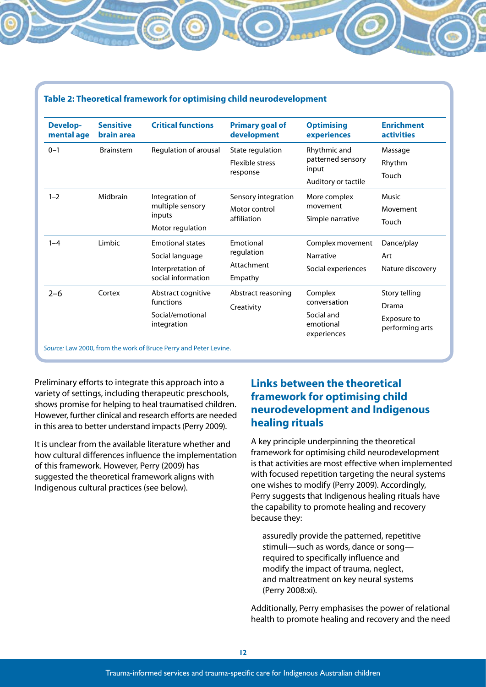| <b>Develop-</b><br>mental age | <b>Sensitive</b><br>brain area | <b>Critical functions</b>                                        | <b>Primary goal of</b><br>development | <b>Optimising</b><br>experiences       | <b>Enrichment</b><br><b>activities</b> |
|-------------------------------|--------------------------------|------------------------------------------------------------------|---------------------------------------|----------------------------------------|----------------------------------------|
| $0 - 1$                       | <b>Brainstem</b>               | Regulation of arousal                                            | State regulation                      | Rhythmic and                           | Massage                                |
|                               |                                |                                                                  | <b>Flexible stress</b><br>response    | patterned sensory<br>input             | Rhythm                                 |
|                               |                                |                                                                  |                                       | Auditory or tactile                    | Touch                                  |
| $1 - 2$                       | Midbrain                       | Integration of<br>multiple sensory<br>inputs<br>Motor regulation | Sensory integration                   | More complex                           | Music                                  |
|                               |                                |                                                                  | Motor control<br>affiliation          | movement                               | Movement                               |
|                               |                                |                                                                  |                                       | Simple narrative                       | Touch                                  |
| Limbic<br>$1 - 4$             |                                | <b>Emotional states</b>                                          | Emotional                             | Complex movement                       | Dance/play                             |
|                               | Social language                | regulation                                                       | Narrative                             | Art                                    |                                        |
|                               |                                | Interpretation of<br>social information                          | Attachment<br>Empathy                 | Social experiences                     | Nature discovery                       |
| $2 - 6$                       | Cortex                         | Abstract cognitive<br>functions                                  | Abstract reasoning                    | Complex                                | Story telling                          |
|                               |                                |                                                                  | Creativity                            | conversation                           | Drama                                  |
|                               |                                | Social/emotional<br>integration                                  |                                       | Social and<br>emotional<br>experiences | Exposure to<br>performing arts         |

Preliminary efforts to integrate this approach into a variety of settings, including therapeutic preschools, shows promise for helping to heal traumatised children. However, further clinical and research efforts are needed in this area to better understand impacts (Perry 2009).

It is unclear from the available literature whether and how cultural differences influence the implementation of this framework. However, Perry (2009) has suggested the theoretical framework aligns with Indigenous cultural practices (see below).

## **Links between the theoretical framework for optimising child neurodevelopment and Indigenous healing rituals**

A key principle underpinning the theoretical framework for optimising child neurodevelopment is that activities are most effective when implemented with focused repetition targeting the neural systems one wishes to modify (Perry 2009). Accordingly, Perry suggests that Indigenous healing rituals have the capability to promote healing and recovery because they:

assuredly provide the patterned, repetitive stimuli—such as words, dance or song required to specifically influence and modify the impact of trauma, neglect, and maltreatment on key neural systems (Perry 2008:xi).

Additionally, Perry emphasises the power of relational health to promote healing and recovery and the need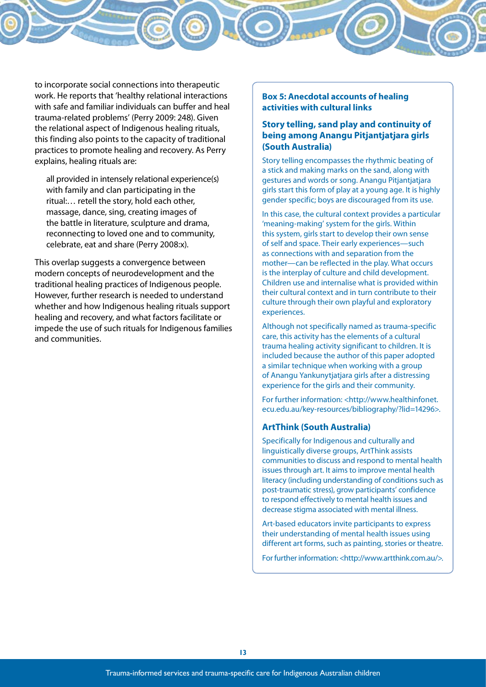to incorporate social connections into therapeutic work. He reports that 'healthy relational interactions with safe and familiar individuals can buffer and heal trauma-related problems' (Perry 2009: 248). Given the relational aspect of Indigenous healing rituals, this finding also points to the capacity of traditional practices to promote healing and recovery. As Perry explains, healing rituals are:

all provided in intensely relational experience(s) with family and clan participating in the ritual:… retell the story, hold each other, massage, dance, sing, creating images of the battle in literature, sculpture and drama, reconnecting to loved one and to community, celebrate, eat and share (Perry 2008:x).

This overlap suggests a convergence between modern concepts of neurodevelopment and the traditional healing practices of Indigenous people. However, further research is needed to understand whether and how Indigenous healing rituals support healing and recovery, and what factors facilitate or impede the use of such rituals for Indigenous families and communities.

#### **Box 5: Anecdotal accounts of healing activities with cultural links**

#### **Story telling, sand play and continuity of being among Anangu Pitjantjatjara girls (South Australia)**

Story telling encompasses the rhythmic beating of a stick and making marks on the sand, along with gestures and words or song. Anangu Pitjantjatjara girls start this form of play at a young age. It is highly gender specific; boys are discouraged from its use.

In this case, the cultural context provides a particular 'meaning-making' system for the girls. Within this system, girls start to develop their own sense of self and space. Their early experiences—such as connections with and separation from the mother—can be reflected in the play. What occurs is the interplay of culture and child development. Children use and internalise what is provided within their cultural context and in turn contribute to their culture through their own playful and exploratory experiences.

Although not specifically named as trauma-specific care, this activity has the elements of a cultural trauma healing activity significant to children. It is included because the author of this paper adopted a similar technique when working with a group of Anangu Yankunytjatjara girls after a distressing experience for the girls and their community.

For further information: <http://www.healthinfonet. ecu.edu.au/key-resources/bibliography/?lid=14296>.

#### **ArtThink (South Australia)**

Specifically for Indigenous and culturally and linguistically diverse groups, ArtThink assists communities to discuss and respond to mental health issues through art. It aims to improve mental health literacy (including understanding of conditions such as post-traumatic stress), grow participants' confidence to respond effectively to mental health issues and decrease stigma associated with mental illness.

Art-based educators invite participants to express their understanding of mental health issues using different art forms, such as painting, stories or theatre.

For further information: <http://www.artthink.com.au/>.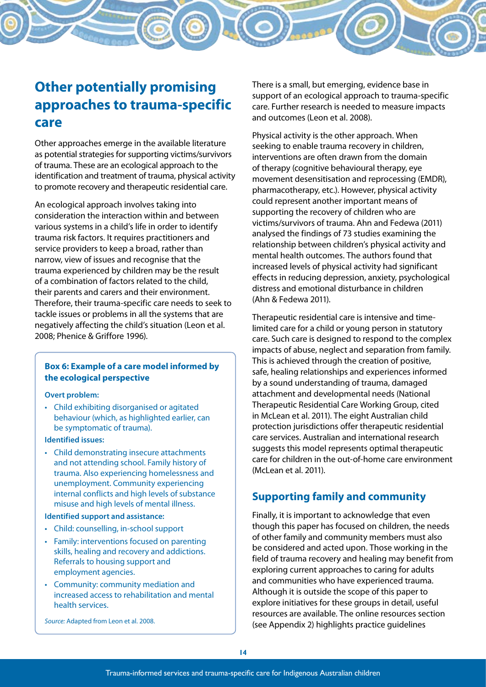# **Other potentially promising approaches to trauma-specific care**

Other approaches emerge in the available literature as potential strategies for supporting victims/survivors of trauma. These are an ecological approach to the identification and treatment of trauma, physical activity to promote recovery and therapeutic residential care.

An ecological approach involves taking into consideration the interaction within and between various systems in a child's life in order to identify trauma risk factors. It requires practitioners and service providers to keep a broad, rather than narrow, view of issues and recognise that the trauma experienced by children may be the result of a combination of factors related to the child, their parents and carers and their environment. Therefore, their trauma-specific care needs to seek to tackle issues or problems in all the systems that are negatively affecting the child's situation (Leon et al. 2008; Phenice & Griffore 1996).

#### **Box 6: Example of a care model informed by the ecological perspective**

#### **Overt problem:**

• Child exhibiting disorganised or agitated behaviour (which, as highlighted earlier, can be symptomatic of trauma).

#### **Identified issues:**

• Child demonstrating insecure attachments and not attending school. Family history of trauma. Also experiencing homelessness and unemployment. Community experiencing internal conflicts and high levels of substance misuse and high levels of mental illness.

#### **Identified support and assistance:**

- • Child: counselling, in-school support
- Family: interventions focused on parenting skills, healing and recovery and addictions. Referrals to housing support and employment agencies.
- • Community: community mediation and increased access to rehabilitation and mental health services.

*Source:* Adapted from Leon et al. 2008.

There is a small, but emerging, evidence base in support of an ecological approach to trauma-specific care. Further research is needed to measure impacts and outcomes (Leon et al. 2008).

Physical activity is the other approach. When seeking to enable trauma recovery in children, interventions are often drawn from the domain of therapy (cognitive behavioural therapy, eye movement desensitisation and reprocessing (EMDR), pharmacotherapy, etc.). However, physical activity could represent another important means of supporting the recovery of children who are victims/survivors of trauma. Ahn and Fedewa (2011) analysed the findings of 73 studies examining the relationship between children's physical activity and mental health outcomes. The authors found that increased levels of physical activity had significant effects in reducing depression, anxiety, psychological distress and emotional disturbance in children (Ahn & Fedewa 2011).

Therapeutic residential care is intensive and timelimited care for a child or young person in statutory care. Such care is designed to respond to the complex impacts of abuse, neglect and separation from family. This is achieved through the creation of positive, safe, healing relationships and experiences informed by a sound understanding of trauma, damaged attachment and developmental needs (National Therapeutic Residential Care Working Group, cited in McLean et al. 2011). The eight Australian child protection jurisdictions offer therapeutic residential care services. Australian and international research suggests this model represents optimal therapeutic care for children in the out-of-home care environment (McLean et al. 2011).

## **Supporting family and community**

Finally, it is important to acknowledge that even though this paper has focused on children, the needs of other family and community members must also be considered and acted upon. Those working in the field of trauma recovery and healing may benefit from exploring current approaches to caring for adults and communities who have experienced trauma. Although it is outside the scope of this paper to explore initiatives for these groups in detail, useful resources are available. The online resources section (see Appendix 2) highlights practice guidelines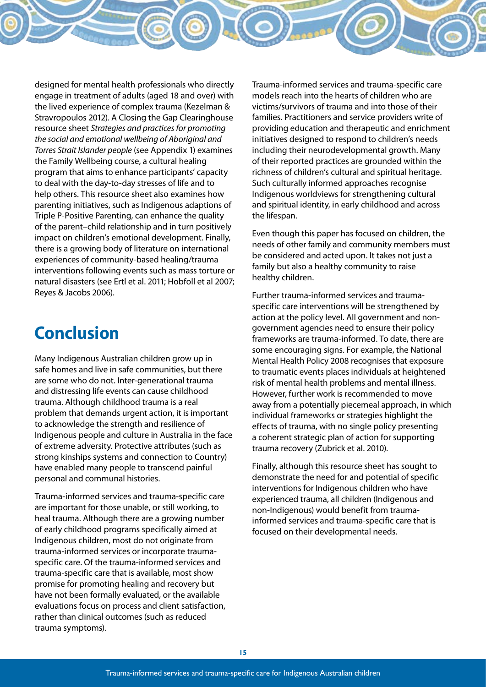designed for mental health professionals who directly engage in treatment of adults (aged 18 and over) with the lived experience of complex trauma (Kezelman & Stravropoulos 2012). A Closing the Gap Clearinghouse resource sheet *Strategies and practices for promoting the social and emotional wellbeing of Aboriginal and Torres Strait Islander people* (see Appendix 1) examines the Family Wellbeing course, a cultural healing program that aims to enhance participants' capacity to deal with the day-to-day stresses of life and to help others. This resource sheet also examines how parenting initiatives, such as Indigenous adaptions of Triple P-Positive Parenting, can enhance the quality of the parent–child relationship and in turn positively impact on children's emotional development. Finally, there is a growing body of literature on international experiences of community-based healing/trauma interventions following events such as mass torture or natural disasters (see Ertl et al. 2011; Hobfoll et al 2007; Reyes & Jacobs 2006).

# **Conclusion**

Many Indigenous Australian children grow up in safe homes and live in safe communities, but there are some who do not. Inter-generational trauma and distressing life events can cause childhood trauma. Although childhood trauma is a real problem that demands urgent action, it is important to acknowledge the strength and resilience of Indigenous people and culture in Australia in the face of extreme adversity. Protective attributes (such as strong kinships systems and connection to Country) have enabled many people to transcend painful personal and communal histories.

Trauma-informed services and trauma-specific care are important for those unable, or still working, to heal trauma. Although there are a growing number of early childhood programs specifically aimed at Indigenous children, most do not originate from trauma-informed services or incorporate traumaspecific care. Of the trauma-informed services and trauma-specific care that is available, most show promise for promoting healing and recovery but have not been formally evaluated, or the available evaluations focus on process and client satisfaction, rather than clinical outcomes (such as reduced trauma symptoms).

Trauma-informed services and trauma-specific care models reach into the hearts of children who are victims/survivors of trauma and into those of their families. Practitioners and service providers write of providing education and therapeutic and enrichment initiatives designed to respond to children's needs including their neurodevelopmental growth. Many of their reported practices are grounded within the richness of children's cultural and spiritual heritage. Such culturally informed approaches recognise Indigenous worldviews for strengthening cultural and spiritual identity, in early childhood and across the lifespan.

Even though this paper has focused on children, the needs of other family and community members must be considered and acted upon. It takes not just a family but also a healthy community to raise healthy children.

Further trauma-informed services and traumaspecific care interventions will be strengthened by action at the policy level. All government and nongovernment agencies need to ensure their policy frameworks are trauma-informed. To date, there are some encouraging signs. For example, the National Mental Health Policy 2008 recognises that exposure to traumatic events places individuals at heightened risk of mental health problems and mental illness. However, further work is recommended to move away from a potentially piecemeal approach, in which individual frameworks or strategies highlight the effects of trauma, with no single policy presenting a coherent strategic plan of action for supporting trauma recovery (Zubrick et al. 2010).

Finally, although this resource sheet has sought to demonstrate the need for and potential of specific interventions for Indigenous children who have experienced trauma, all children (Indigenous and non-Indigenous) would benefit from traumainformed services and trauma-specific care that is focused on their developmental needs.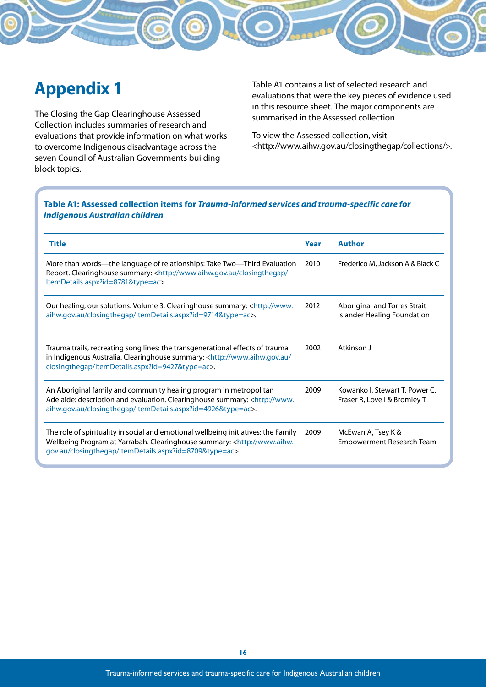# **Appendix 1**

The Closing the Gap Clearinghouse Assessed Collection includes summaries of research and evaluations that provide information on what works to overcome Indigenous disadvantage across the seven Council of Australian Governments building block topics.

Table A1 contains a list of selected research and evaluations that were the key pieces of evidence used in this resource sheet. The major components are summarised in the Assessed collection.

To view the Assessed collection, visit <http://www.aihw.gov.au/closingthegap/collections/>.

#### **Table A1: Assessed collection items for** *Trauma-informed services and trauma-specific care for Indigenous Australian children*

| <b>Title</b>                                                                                                                                                                                                                              | Year | <b>Author</b>                                                      |
|-------------------------------------------------------------------------------------------------------------------------------------------------------------------------------------------------------------------------------------------|------|--------------------------------------------------------------------|
| More than words—the language of relationships: Take Two—Third Evaluation<br>Report. Clearinghouse summary: <http: <br="" closingthegap="" www.aihw.gov.au="">ItemDetails.aspx?id=8781&amp;type=ac&gt;.</http:>                            | 2010 | Frederico M, Jackson A & Black C                                   |
| Our healing, our solutions. Volume 3. Clearinghouse summary: <http: www.<br="">aihw.gov.au/closingthegap/ItemDetails.aspx?id=9714&amp;type=ac&gt;.</http:>                                                                                |      | Aboriginal and Torres Strait<br><b>Islander Healing Foundation</b> |
| Trauma trails, recreating song lines: the transgenerational effects of trauma<br>in Indigenous Australia. Clearinghouse summary: <http: <br="" www.aihw.gov.au="">closingthegap/ItemDetails.aspx?id=9427&amp;type=ac&gt;.</http:>         |      | Atkinson J                                                         |
| An Aboriginal family and community healing program in metropolitan<br>Adelaide: description and evaluation. Clearinghouse summary: <http: www.<br="">aihw.gov.au/closingthegap/ItemDetails.aspx?id=4926&amp;type=ac&gt;.</http:>          |      | Kowanko I, Stewart T, Power C,<br>Fraser R, Love I & Bromley T     |
| The role of spirituality in social and emotional wellbeing initiatives: the Family<br>Wellbeing Program at Yarrabah. Clearinghouse summary: <http: www.aihw.<br="">gov.au/closingthegap/ltemDetails.aspx?id=8709&amp;type=ac&gt;.</http:> |      | McEwan A, Tsey K &<br>Empowerment Research Team                    |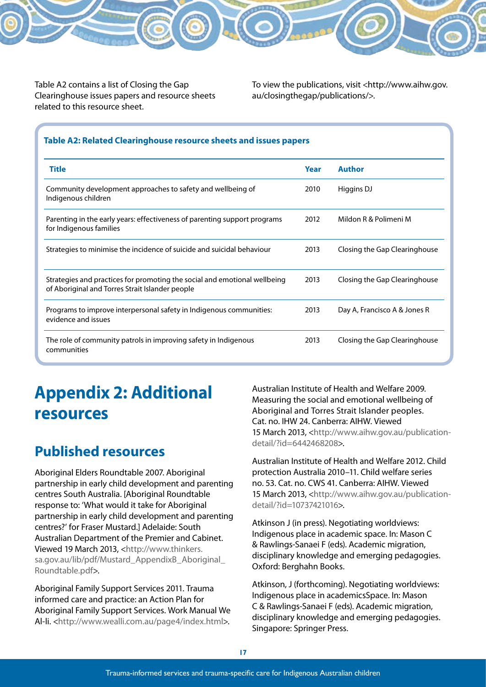Table A2 contains a list of Closing the Gap Clearinghouse issues papers and resource sheets related to this resource sheet.

To view the publications, visit <http://www.aihw.gov. au/closingthegap/publications/>.

#### **Table A2: Related Clearinghouse resource sheets and issues papers**

| <b>Title</b>                                                                                                                 | Year | <b>Author</b>                 |
|------------------------------------------------------------------------------------------------------------------------------|------|-------------------------------|
| Community development approaches to safety and wellbeing of<br>Indigenous children                                           | 2010 | Higgins DJ                    |
| Parenting in the early years: effectiveness of parenting support programs<br>for Indigenous families                         | 2012 | Mildon R & Polimeni M         |
| Strategies to minimise the incidence of suicide and suicidal behaviour                                                       | 2013 | Closing the Gap Clearinghouse |
| Strategies and practices for promoting the social and emotional wellbeing<br>of Aboriginal and Torres Strait Islander people |      | Closing the Gap Clearinghouse |
| Programs to improve interpersonal safety in Indigenous communities:<br>evidence and issues                                   | 2013 | Day A, Francisco A & Jones R  |
| The role of community patrols in improving safety in Indigenous<br>communities                                               | 2013 | Closing the Gap Clearinghouse |

# **Appendix 2: Additional resources**

## **Published resources**

Aboriginal Elders Roundtable 2007. Aboriginal partnership in early child development and parenting centres South Australia. [Aboriginal Roundtable response to: 'What would it take for Aboriginal partnership in early child development and parenting centres?' for Fraser Mustard.] Adelaide: South Australian Department of the Premier and Cabinet. Viewed 19 March 2013, <http://www.thinkers. sa.gov.au/lib/pdf/Mustard\_AppendixB\_Aboriginal\_ Roundtable.pdf>.

Aboriginal Family Support Services 2011. Trauma informed care and practice: an Action Plan for Aboriginal Family Support Services. Work Manual We Al-li. <http://www.wealli.com.au/page4/index.html>.

Australian Institute of Health and Welfare 2009. Measuring the social and emotional wellbeing of Aboriginal and Torres Strait Islander peoples. Cat. no. IHW 24. Canberra: AIHW. Viewed 15 March 2013, <http://www.aihw.gov.au/publicationdetail/?id=6442468208>.

Australian Institute of Health and Welfare 2012. Child protection Australia 2010–11. Child welfare series no. 53. Cat. no. CWS 41. Canberra: AIHW. Viewed 15 March 2013, <http://www.aihw.gov.au/publicationdetail/?id=10737421016>.

Atkinson J (in press). Negotiating worldviews: Indigenous place in academic space. In: Mason C & Rawlings-Sanaei F (eds). Academic migration, disciplinary knowledge and emerging pedagogies. Oxford: Berghahn Books.

Atkinson, J (forthcoming). Negotiating worldviews: Indigenous place in academicsSpace. In: Mason C & Rawlings-Sanaei F (eds). Academic migration, disciplinary knowledge and emerging pedagogies. Singapore: Springer Press.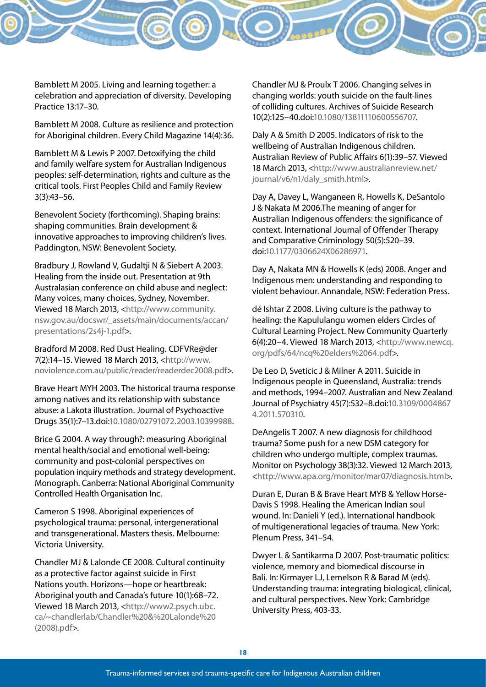Bamblett M 2005. Living and learning together: a celebration and appreciation of diversity. Developing Practice 13:17–30.

Bamblett M 2008. Culture as resilience and protection for Aboriginal children. Every Child Magazine 14(4):36.

Bamblett M & Lewis P 2007. Detoxifying the child and family welfare system for Australian Indigenous peoples: self-determination, rights and culture as the critical tools. First Peoples Child and Family Review 3(3):43–56.

Benevolent Society (forthcoming). Shaping brains: shaping communities. Brain development & innovative approaches to improving children's lives. Paddington, NSW: Benevolent Society.

Bradbury J, Rowland V, Gudaltji N & Siebert A 2003. Healing from the inside out. Presentation at 9th Australasian conference on child abuse and neglect: Many voices, many choices, Sydney, November. Viewed 18 March 2013, <http://www.community. nsw.gov.au/docswr/\_assets/main/documents/accan/ presentations/2s4j-1.pdf>.

Bradford M 2008. Red Dust Healing. CDFVRe@der 7(2):14–15. Viewed 18 March 2013, <http://www. noviolence.com.au/public/reader/readerdec2008.pdf>.

Brave Heart MYH 2003. The historical trauma response among natives and its relationship with substance abuse: a Lakota illustration. Journal of Psychoactive Drugs 35(1):7–13.doi:10.1080/02791072.2003.10399988.

Brice G 2004. A way through?: measuring Aboriginal mental health/social and emotional well-being: community and post-colonial perspectives on population inquiry methods and strategy development. Monograph. Canberra: National Aboriginal Community Controlled Health Organisation Inc.

Cameron S 1998. Aboriginal experiences of psychological trauma: personal, intergenerational and transgenerational. Masters thesis. Melbourne: Victoria University.

Chandler MJ & Lalonde CE 2008. Cultural continuity as a protective factor against suicide in First Nations youth. Horizons—hope or heartbreak: Aboriginal youth and Canada's future 10(1):68–72. Viewed 18 March 2013, <http://www2.psych.ubc. ca/~chandlerlab/Chandler%20&%20Lalonde%20 (2008).pdf>.

Chandler MJ & Proulx T 2006. Changing selves in changing worlds: youth suicide on the fault-lines of colliding cultures. Archives of Suicide Research 10(2):125–40.doi:10.1080/13811110600556707.

Daly A & Smith D 2005. Indicators of risk to the wellbeing of Australian Indigenous children. Australian Review of Public Affairs 6(1):39–57. Viewed 18 March 2013, <http://www.australianreview.net/ journal/v6/n1/daly\_smith.html>.

Day A, Davey L, Wanganeen R, Howells K, DeSantolo J & Nakata M 2006.The meaning of anger for Australian Indigenous offenders: the significance of context. International Journal of Offender Therapy and Comparative Criminology 50(5):520–39. doi:10.1177/0306624X06286971.

Day A, Nakata MN & Howells K (eds) 2008. Anger and Indigenous men: understanding and responding to violent behaviour. Annandale, NSW: Federation Press.

dé Ishtar Z 2008. Living culture is the pathway to healing: the Kapululangu women elders Circles of Cultural Learning Project. New Community Quarterly 6(4):20–4. Viewed 18 March 2013, <http://www.newcq. org/pdfs/64/ncq%20elders%2064.pdf>.

De Leo D, Sveticic J & Milner A 2011. Suicide in Indigenous people in Queensland, Australia: trends and methods, 1994–2007. Australian and New Zealand Journal of Psychiatry 45(7):532–8.doi:10.3109/0004867 4.2011.570310.

DeAngelis T 2007. A new diagnosis for childhood trauma? Some push for a new DSM category for children who undergo multiple, complex traumas. Monitor on Psychology 38(3):32. Viewed 12 March 2013, <http://www.apa.org/monitor/mar07/diagnosis.html>.

Duran E, Duran B & Brave Heart MYB & Yellow Horse-Davis S 1998. Healing the American Indian soul wound. In: Danieli Y (ed.). International handbook of multigenerational legacies of trauma. New York: Plenum Press, 341–54.

Dwyer L & Santikarma D 2007. Post-traumatic politics: violence, memory and biomedical discourse in Bali. In: Kirmayer LJ, Lemelson R & Barad M (eds). Understanding trauma: integrating biological, clinical, and cultural perspectives. New York: Cambridge University Press, 403-33.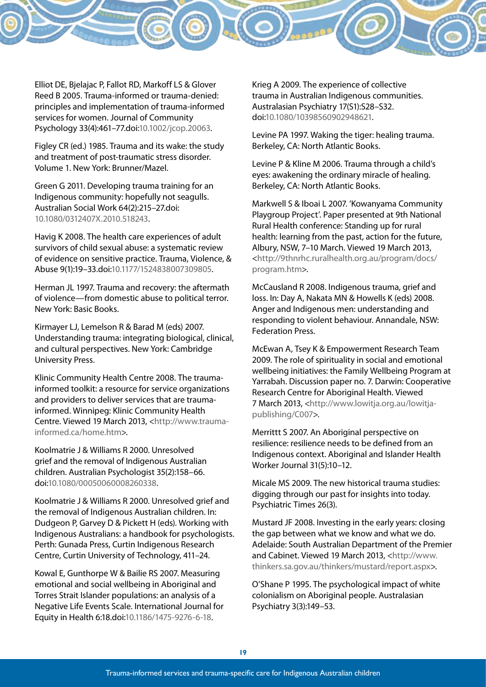Elliot DE, Bjelajac P, Fallot RD, Markoff LS & Glover Reed B 2005. Trauma-informed or trauma-denied: principles and implementation of trauma-informed services for women. Journal of Community Psychology 33(4):461–77.doi:10.1002/jcop.20063.

Figley CR (ed.) 1985. Trauma and its wake: the study and treatment of post-traumatic stress disorder. Volume 1. New York: Brunner/Mazel.

Green G 2011. Developing trauma training for an Indigenous community: hopefully not seagulls. Australian Social Work 64(2):215–27.doi: 10.1080/0312407X.2010.518243.

Havig K 2008. The health care experiences of adult survivors of child sexual abuse: a systematic review of evidence on sensitive practice. Trauma, Violence, & Abuse 9(1):19–33.doi:10.1177/1524838007309805.

Herman JL 1997. Trauma and recovery: the aftermath of violence—from domestic abuse to political terror. New York: Basic Books.

Kirmayer LJ, Lemelson R & Barad M (eds) 2007. Understanding trauma: integrating biological, clinical, and cultural perspectives. New York: Cambridge University Press.

Klinic Community Health Centre 2008. The traumainformed toolkit: a resource for service organizations and providers to deliver services that are traumainformed. Winnipeg: Klinic Community Health Centre. Viewed 19 March 2013, <http://www.traumainformed.ca/home.htm>.

Koolmatrie J & Williams R 2000. Unresolved grief and the removal of Indigenous Australian children. Australian Psychologist 35(2):158–66. doi:10.1080/00050060008260338.

Koolmatrie J & Williams R 2000. Unresolved grief and the removal of Indigenous Australian children. In: Dudgeon P, Garvey D & Pickett H (eds). Working with Indigenous Australians: a handbook for psychologists. Perth: Gunada Press, Curtin Indigenous Research Centre, Curtin University of Technology, 411–24.

Kowal E, Gunthorpe W & Bailie RS 2007. Measuring emotional and social wellbeing in Aboriginal and Torres Strait Islander populations: an analysis of a Negative Life Events Scale. International Journal for Equity in Health 6:18.doi:10.1186/1475-9276-6-18.

Krieg A 2009. The experience of collective trauma in Australian Indigenous communities. Australasian Psychiatry 17(S1):S28–S32. doi:10.1080/10398560902948621.

Levine PA 1997. Waking the tiger: healing trauma. Berkeley, CA: North Atlantic Books.

Levine P & Kline M 2006. Trauma through a child's eyes: awakening the ordinary miracle of healing. Berkeley, CA: North Atlantic Books.

Markwell S & Iboai L 2007. 'Kowanyama Community Playgroup Project'. Paper presented at 9th National Rural Health conference: Standing up for rural health: learning from the past, action for the future, Albury, NSW, 7–10 March. Viewed 19 March 2013, <http://9thnrhc.ruralhealth.org.au/program/docs/ program.htm>.

McCausland R 2008. Indigenous trauma, grief and loss. In: Day A, Nakata MN & Howells K (eds) 2008. Anger and Indigenous men: understanding and responding to violent behaviour. Annandale, NSW: Federation Press.

McEwan A, Tsey K & Empowerment Research Team 2009. The role of spirituality in social and emotional wellbeing initiatives: the Family Wellbeing Program at Yarrabah. Discussion paper no. 7. Darwin: Cooperative Research Centre for Aboriginal Health. Viewed 7 March 2013, <http://www.lowitja.org.au/lowitjapublishing/C007>.

Merrittt S 2007. An Aboriginal perspective on resilience: resilience needs to be defined from an Indigenous context. Aboriginal and Islander Health Worker Journal 31(5):10–12.

Micale MS 2009. The new historical trauma studies: digging through our past for insights into today. Psychiatric Times 26(3).

Mustard JF 2008. Investing in the early years: closing the gap between what we know and what we do. Adelaide: South Australian Department of the Premier and Cabinet. Viewed 19 March 2013, <http://www. thinkers.sa.gov.au/thinkers/mustard/report.aspx>.

O'Shane P 1995. The psychological impact of white colonialism on Aboriginal people. Australasian Psychiatry 3(3):149–53.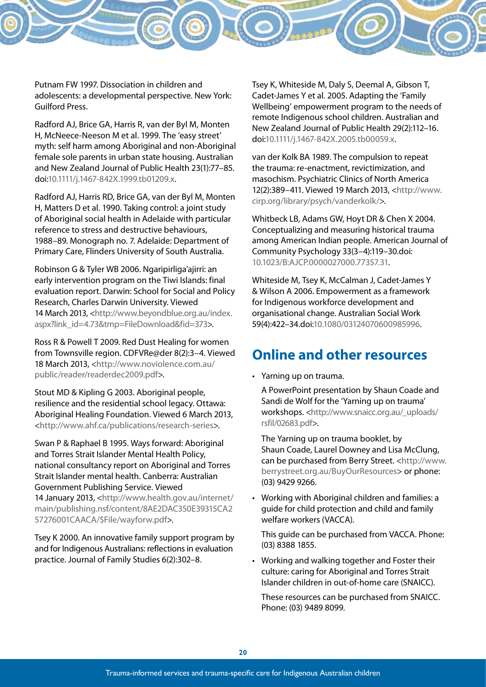Putnam FW 1997. Dissociation in children and adolescents: a developmental perspective. New York: Guilford Press.

Radford AJ, Brice GA, Harris R, van der Byl M, Monten H, McNeece-Neeson M et al. 1999. The 'easy street' myth: self harm among Aboriginal and non-Aboriginal female sole parents in urban state housing. Australian and New Zealand Journal of Public Health 23(1):77–85. doi:10.1111/j.1467-842X.1999.tb01209.x.

Radford AJ, Harris RD, Brice GA, van der Byl M, Monten H, Matters D et al. 1990. Taking control: a joint study of Aboriginal social health in Adelaide with particular reference to stress and destructive behaviours, 1988–89. Monograph no. 7. Adelaide: Department of Primary Care, Flinders University of South Australia.

Robinson G & Tyler WB 2006. Ngaripirliga'ajirri: an early intervention program on the Tiwi Islands: final evaluation report. Darwin: School for Social and Policy Research, Charles Darwin University. Viewed 14 March 2013, <http://www.beyondblue.org.au/index. aspx?link\_id=4.73&tmp=FileDownload&fid=373>.

Ross R & Powell T 2009. Red Dust Healing for women from Townsville region. CDFVRe@der 8(2):3–4. Viewed 18 March 2013, <http://www.noviolence.com.au/ public/reader/readerdec2009.pdf>.

Stout MD & Kipling G 2003. Aboriginal people, resilience and the residential school legacy. Ottawa: Aboriginal Healing Foundation. Viewed 6 March 2013, <http://www.ahf.ca/publications/research-series>.

Swan P & Raphael B 1995. Ways forward: Aboriginal and Torres Strait Islander Mental Health Policy, national consultancy report on Aboriginal and Torres Strait Islander mental health. Canberra: Australian Government Publishing Service. Viewed

14 January 2013, <http://www.health.gov.au/internet/ main/publishing.nsf/content/8AE2DAC350E39315CA2 57276001CAACA/\$File/wayforw.pdf>.

Tsey K 2000. An innovative family support program by and for Indigenous Australians: reflections in evaluation practice. Journal of Family Studies 6(2):302–8.

Tsey K, Whiteside M, Daly S, Deemal A, Gibson T, Cadet-James Y et al. 2005. Adapting the 'Family Wellbeing' empowerment program to the needs of remote Indigenous school children. Australian and New Zealand Journal of Public Health 29(2):112–16. doi:10.1111/j.1467-842X.2005.tb00059.x.

van der Kolk BA 1989. The compulsion to repeat the trauma: re-enactment, revictimization, and masochism. Psychiatric Clinics of North America 12(2):389–411. Viewed 19 March 2013, <http://www. cirp.org/library/psych/vanderkolk/>.

Whitbeck LB, Adams GW, Hoyt DR & Chen X 2004. Conceptualizing and measuring historical trauma among American Indian people. American Journal of Community Psychology 33(3–4):119–30.doi: 10.1023/B:AJCP.0000027000.77357.31.

Whiteside M, Tsey K, McCalman J, Cadet-James Y & Wilson A 2006. Empowerment as a framework for Indigenous workforce development and organisational change. Australian Social Work 59(4):422–34.doi:10.1080/03124070600985996.

## **Online and other resources**

• Yarning up on trauma.

A PowerPoint presentation by Shaun Coade and Sandi de Wolf for the 'Yarning up on trauma' workshops. <http://www.snaicc.org.au/\_uploads/ rsfil/02683.pdf>.

The Yarning up on trauma booklet, by Shaun Coade, Laurel Downey and Lisa McClung, can be purchased from Berry Street. <http://www. berrystreet.org.au/BuyOurResources> or phone: (03) 9429 9266.

• Working with Aboriginal children and families: a guide for child protection and child and family welfare workers (VACCA).

This guide can be purchased from VACCA. Phone: (03) 8388 1855.

• Working and walking together and Foster their culture: caring for Aboriginal and Torres Strait Islander children in out-of-home care (SNAICC).

These resources can be purchased from SNAICC. Phone: (03) 9489 8099.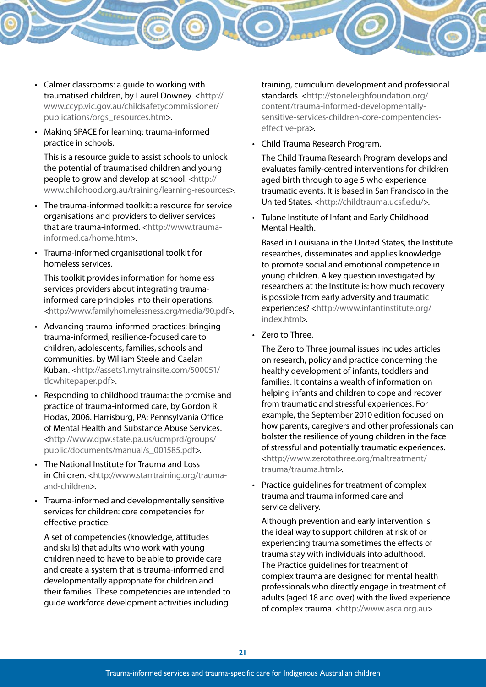- • Calmer classrooms: a guide to working with traumatised children, by Laurel Downey. <http:// www.ccyp.vic.gov.au/childsafetycommissioner/ publications/orgs\_resources.htm>.
- • Making SPACE for learning: trauma-informed practice in schools.

This is a resource guide to assist schools to unlock the potential of traumatised children and young people to grow and develop at school. <http:// www.childhood.org.au/training/learning-resources>.

- The trauma-informed toolkit: a resource for service organisations and providers to deliver services that are trauma-informed. <http://www.traumainformed.ca/home.htm>
- • Trauma-informed organisational toolkit for homeless services.

This toolkit provides information for homeless services providers about integrating traumainformed care principles into their operations. <http://www.familyhomelessness.org/media/90.pdf>.

- • Advancing trauma-informed practices: bringing trauma-informed, resilience-focused care to children, adolescents, families, schools and communities, by William Steele and Caelan Kuban. <http://assets1.mytrainsite.com/500051/ tlcwhitepaper.pdf>.
- • Responding to childhood trauma: the promise and practice of trauma-informed care, by Gordon R Hodas, 2006. Harrisburg, PA: Pennsylvania Office of Mental Health and Substance Abuse Services. <http://www.dpw.state.pa.us/ucmprd/groups/ public/documents/manual/s\_001585.pdf>.
- The National Institute for Trauma and Loss in Children. <http://www.starrtraining.org/traumaand-children>.
- • Trauma-informed and developmentally sensitive services for children: core competencies for effective practice.

A set of competencies (knowledge, attitudes and skills) that adults who work with young children need to have to be able to provide care and create a system that is trauma-informed and developmentally appropriate for children and their families. These competencies are intended to guide workforce development activities including

training, curriculum development and professional standards. <http://stoneleighfoundation.org/ content/trauma-informed-developmentallysensitive-services-children-core-compentencieseffective-pra>.

• Child Trauma Research Program.

The Child Trauma Research Program develops and evaluates family-centred interventions for children aged birth through to age 5 who experience traumatic events. It is based in San Francisco in the United States. <http://childtrauma.ucsf.edu/>.

• Tulane Institute of Infant and Early Childhood Mental Health.

Based in Louisiana in the United States, the Institute researches, disseminates and applies knowledge to promote social and emotional competence in young children. A key question investigated by researchers at the Institute is: how much recovery is possible from early adversity and traumatic experiences? <http://www.infantinstitute.org/ index.html>.

• Zero to Three.

The Zero to Three journal issues includes articles on research, policy and practice concerning the healthy development of infants, toddlers and families. It contains a wealth of information on helping infants and children to cope and recover from traumatic and stressful experiences. For example, the September 2010 edition focused on how parents, caregivers and other professionals can bolster the resilience of young children in the face of stressful and potentially traumatic experiences. <http://www.zerotothree.org/maltreatment/ trauma/trauma.html>.

Practice guidelines for treatment of complex trauma and trauma informed care and service delivery.

Although prevention and early intervention is the ideal way to support children at risk of or experiencing trauma sometimes the effects of trauma stay with individuals into adulthood. The Practice guidelines for treatment of complex trauma are designed for mental health professionals who directly engage in treatment of adults (aged 18 and over) with the lived experience of complex trauma. <http://www.asca.org.au>.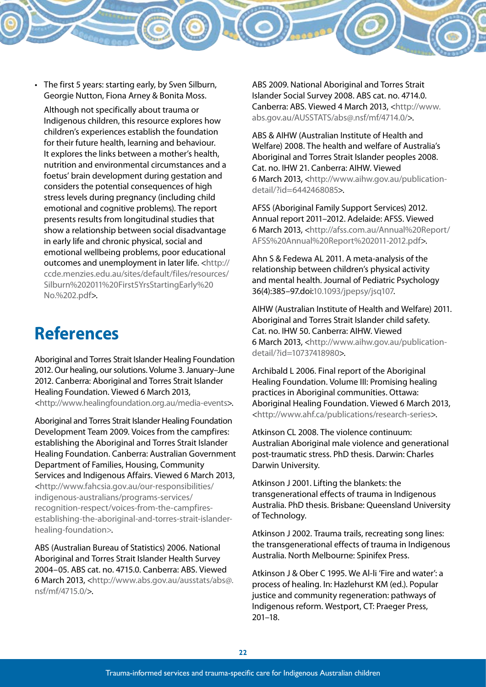• The first 5 years: starting early, by Sven Silburn, Georgie Nutton, Fiona Arney & Bonita Moss.

Although not specifically about trauma or Indigenous children, this resource explores how children's experiences establish the foundation for their future health, learning and behaviour. It explores the links between a mother's health, nutrition and environmental circumstances and a foetus' brain development during gestation and considers the potential consequences of high stress levels during pregnancy (including child emotional and cognitive problems). The report presents results from longitudinal studies that show a relationship between social disadvantage in early life and chronic physical, social and emotional wellbeing problems, poor educational outcomes and unemployment in later life. <http:// ccde.menzies.edu.au/sites/default/files/resources/ Silburn%202011%20First5YrsStartingEarly%20 No.%202.pdf>.

# **References**

Aboriginal and Torres Strait Islander Healing Foundation 2012. Our healing, our solutions. Volume 3. January–June 2012. Canberra: Aboriginal and Torres Strait Islander Healing Foundation. Viewed 6 March 2013, <http://www.healingfoundation.org.au/media-events>.

Aboriginal and Torres Strait Islander Healing Foundation Development Team 2009. Voices from the campfires: establishing the Aboriginal and Torres Strait Islander Healing Foundation. Canberra: Australian Government Department of Families, Housing, Community Services and Indigenous Affairs. Viewed 6 March 2013, <http://www.fahcsia.gov.au/our-responsibilities/ indigenous-australians/programs-services/ recognition-respect/voices-from-the-campfiresestablishing-the-aboriginal-and-torres-strait-islanderhealing-foundation>.

ABS (Australian Bureau of Statistics) 2006. National Aboriginal and Torres Strait Islander Health Survey 2004–05. ABS cat. no. 4715.0. Canberra: ABS. Viewed 6 March 2013, <http://www.abs.gov.au/ausstats/abs@. nsf/mf/4715.0/>.

ABS 2009. National Aboriginal and Torres Strait Islander Social Survey 2008. ABS cat. no. 4714.0. Canberra: ABS. Viewed 4 March 2013, <http://www. abs.gov.au/AUSSTATS/abs@.nsf/mf/4714.0/>.

ABS & AIHW (Australian Institute of Health and Welfare) 2008. The health and welfare of Australia's Aboriginal and Torres Strait Islander peoples 2008. Cat. no. IHW 21. Canberra: AIHW. Viewed 6 March 2013, <http://www.aihw.gov.au/publicationdetail/?id=6442468085>.

AFSS (Aboriginal Family Support Services) 2012. Annual report 2011–2012. Adelaide: AFSS. Viewed 6 March 2013, <http://afss.com.au/Annual%20Report/ AFSS%20Annual%20Report%202011-2012.pdf>.

Ahn S & Fedewa AL 2011. A meta-analysis of the relationship between children's physical activity and mental health. Journal of Pediatric Psychology 36(4):385–97.doi:10.1093/jpepsy/jsq107.

AIHW (Australian Institute of Health and Welfare) 2011. Aboriginal and Torres Strait Islander child safety. Cat. no. IHW 50. Canberra: AIHW. Viewed 6 March 2013, <http://www.aihw.gov.au/publicationdetail/?id=10737418980>.

Archibald L 2006. Final report of the Aboriginal Healing Foundation. Volume III: Promising healing practices in Aboriginal communities. Ottawa: Aboriginal Healing Foundation. Viewed 6 March 2013, <http://www.ahf.ca/publications/research-series>.

Atkinson CL 2008. The violence continuum: Australian Aboriginal male violence and generational post-traumatic stress. PhD thesis. Darwin: Charles Darwin University.

Atkinson J 2001. Lifting the blankets: the transgenerational effects of trauma in Indigenous Australia. PhD thesis. Brisbane: Queensland University of Technology.

Atkinson J 2002. Trauma trails, recreating song lines: the transgenerational effects of trauma in Indigenous Australia. North Melbourne: Spinifex Press.

Atkinson J & Ober C 1995. We Al-li 'Fire and water': a process of healing. In: Hazlehurst KM (ed.). Popular justice and community regeneration: pathways of Indigenous reform. Westport, CT: Praeger Press, 201–18.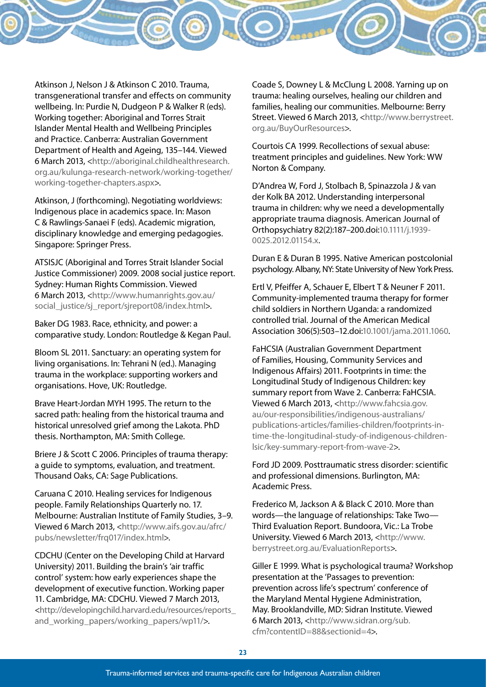Atkinson J, Nelson J & Atkinson C 2010. Trauma, transgenerational transfer and effects on community wellbeing. In: Purdie N, Dudgeon P & Walker R (eds). Working together: Aboriginal and Torres Strait Islander Mental Health and Wellbeing Principles and Practice. Canberra: Australian Government Department of Health and Ageing, 135–144. Viewed 6 March 2013, <http://aboriginal.childhealthresearch. org.au/kulunga-research-network/working-together/ working-together-chapters.aspx>.

Atkinson, J (forthcoming). Negotiating worldviews: Indigenous place in academics space. In: Mason C & Rawlings-Sanaei F (eds). Academic migration, disciplinary knowledge and emerging pedagogies. Singapore: Springer Press.

ATSISJC (Aboriginal and Torres Strait Islander Social Justice Commissioner) 2009. 2008 social justice report. Sydney: Human Rights Commission. Viewed 6 March 2013, <http://www.humanrights.gov.au/ social\_justice/sj\_report/sjreport08/index.html>.

Baker DG 1983. Race, ethnicity, and power: a comparative study. London: Routledge & Kegan Paul.

Bloom SL 2011. Sanctuary: an operating system for living organisations. In: Tehrani N (ed.). Managing trauma in the workplace: supporting workers and organisations. Hove, UK: Routledge.

Brave Heart-Jordan MYH 1995. The return to the sacred path: healing from the historical trauma and historical unresolved grief among the Lakota. PhD thesis. Northampton, MA: Smith College.

Briere J & Scott C 2006. Principles of trauma therapy: a guide to symptoms, evaluation, and treatment. Thousand Oaks, CA: Sage Publications.

Caruana C 2010. Healing services for Indigenous people. Family Relationships Quarterly no. 17. Melbourne: Australian Institute of Family Studies, 3–9. Viewed 6 March 2013, <http://www.aifs.gov.au/afrc/ pubs/newsletter/frq017/index.html>.

CDCHU (Center on the Developing Child at Harvard University) 2011. Building the brain's 'air traffic control' system: how early experiences shape the development of executive function. Working paper 11. Cambridge, MA: CDCHU. Viewed 7 March 2013, <http://developingchild.harvard.edu/resources/reports\_ and\_working\_papers/working\_papers/wp11/>.

Coade S, Downey L & McClung L 2008. Yarning up on trauma: healing ourselves, healing our children and families, healing our communities. Melbourne: Berry Street. Viewed 6 March 2013, <http://www.berrystreet. org.au/BuyOurResources>.

Courtois CA 1999. Recollections of sexual abuse: treatment principles and guidelines. New York: WW Norton & Company.

D'Andrea W, Ford J, Stolbach B, Spinazzola J & van der Kolk BA 2012. Understanding interpersonal trauma in children: why we need a developmentally appropriate trauma diagnosis. American Journal of Orthopsychiatry 82(2):187–200.doi:10.1111/j.1939- 0025.2012.01154.x.

Duran E & Duran B 1995. Native American postcolonial psychology. Albany, NY: State University of New York Press.

Ertl V, Pfeiffer A, Schauer E, Elbert T & Neuner F 2011. Community-implemented trauma therapy for former child soldiers in Northern Uganda: a randomized controlled trial. Journal of the American Medical Association 306(5):503–12.doi:10.1001/jama.2011.1060.

FaHCSIA (Australian Government Department of Families, Housing, Community Services and Indigenous Affairs) 2011. Footprints in time: the Longitudinal Study of Indigenous Children: key summary report from Wave 2. Canberra: FaHCSIA. Viewed 6 March 2013, <http://www.fahcsia.gov. au/our-responsibilities/indigenous-australians/ publications-articles/families-children/footprints-intime-the-longitudinal-study-of-indigenous-childrenlsic/key-summary-report-from-wave-2>.

Ford JD 2009. Posttraumatic stress disorder: scientific and professional dimensions. Burlington, MA: Academic Press.

Frederico M, Jackson A & Black C 2010. More than words—the language of relationships: Take Two— Third Evaluation Report. Bundoora, Vic.: La Trobe University. Viewed 6 March 2013, <http://www. berrystreet.org.au/EvaluationReports>.

Giller E 1999. What is psychological trauma? Workshop presentation at the 'Passages to prevention: prevention across life's spectrum' conference of the Maryland Mental Hygiene Administration, May. Brooklandville, MD: Sidran Institute. Viewed 6 March 2013, <http://www.sidran.org/sub. cfm?contentID=88&sectionid=4>.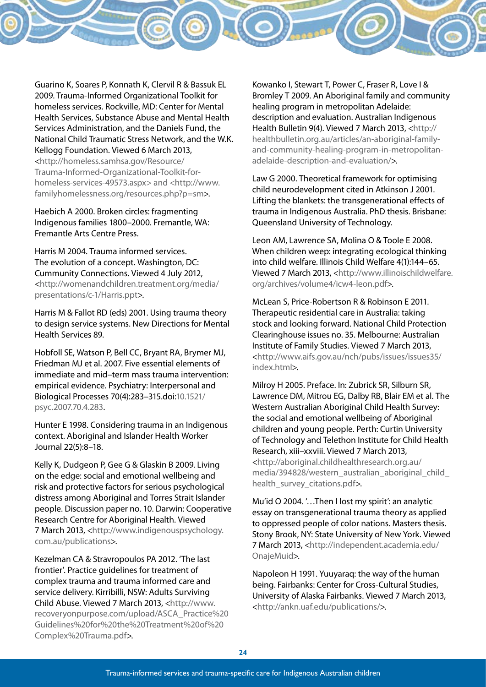Guarino K, Soares P, Konnath K, Clervil R & Bassuk EL 2009. Trauma-Informed Organizational Toolkit for homeless services. Rockville, MD: Center for Mental Health Services, Substance Abuse and Mental Health Services Administration, and the Daniels Fund, the National Child Traumatic Stress Network, and the W.K. Kellogg Foundation. Viewed 6 March 2013, <http://homeless.samhsa.gov/Resource/

Trauma-Informed-Organizational-Toolkit-forhomeless-services-49573.aspx> and <http://www. familyhomelessness.org/resources.php?p=sm>.

Haebich A 2000. Broken circles: fragmenting Indigenous families 1800–2000. Fremantle, WA: Fremantle Arts Centre Press.

Harris M 2004. Trauma informed services. The evolution of a concept. Washington, DC: Cummunity Connections. Viewed 4 July 2012, <http://womenandchildren.treatment.org/media/ presentations/c-1/Harris.ppt>.

Harris M & Fallot RD (eds) 2001. Using trauma theory to design service systems. New Directions for Mental Health Services 89.

Hobfoll SE, Watson P, Bell CC, Bryant RA, Brymer MJ, Friedman MJ et al. 2007. Five essential elements of immediate and mid–term mass trauma intervention: empirical evidence. Psychiatry: Interpersonal and Biological Processes 70(4):283–315.doi:10.1521/ psyc.2007.70.4.283.

Hunter E 1998. Considering trauma in an Indigenous context. Aboriginal and Islander Health Worker Journal 22(5):8–18.

Kelly K, Dudgeon P, Gee G & Glaskin B 2009. Living on the edge: social and emotional wellbeing and risk and protective factors for serious psychological distress among Aboriginal and Torres Strait Islander people. Discussion paper no. 10. Darwin: Cooperative Research Centre for Aboriginal Health. Viewed 7 March 2013, <http://www.indigenouspsychology. com.au/publications>.

Kezelman CA & Stravropoulos PA 2012. 'The last frontier'. Practice guidelines for treatment of complex trauma and trauma informed care and service delivery. Kirribilli, NSW: Adults Surviving Child Abuse. Viewed 7 March 2013, <http://www. recoveryonpurpose.com/upload/ASCA\_Practice%20 Guidelines%20for%20the%20Treatment%20of%20 Complex%20Trauma.pdf>.

Kowanko I, Stewart T, Power C, Fraser R, Love I & Bromley T 2009. An Aboriginal family and community healing program in metropolitan Adelaide: description and evaluation. Australian Indigenous Health Bulletin 9(4). Viewed 7 March 2013, <http:// healthbulletin.org.au/articles/an-aboriginal-familyand-community-healing-program-in-metropolitanadelaide-description-and-evaluation/>.

Law G 2000. Theoretical framework for optimising child neurodevelopment cited in Atkinson J 2001. Lifting the blankets: the transgenerational effects of trauma in Indigenous Australia. PhD thesis. Brisbane: Queensland University of Technology.

Leon AM, Lawrence SA, Molina O & Toole E 2008. When children weep: integrating ecological thinking into child welfare. Illinois Child Welfare 4(1):144–65. Viewed 7 March 2013, <http://www.illinoischildwelfare. org/archives/volume4/icw4-leon.pdf>.

McLean S, Price-Robertson R & Robinson E 2011. Therapeutic residential care in Australia: taking stock and looking forward. National Child Protection Clearinghouse issues no. 35. Melbourne: Australian Institute of Family Studies. Viewed 7 March 2013, <http://www.aifs.gov.au/nch/pubs/issues/issues35/ index.html>.

Milroy H 2005. Preface. In: Zubrick SR, Silburn SR, Lawrence DM, Mitrou EG, Dalby RB, Blair EM et al. The Western Australian Aboriginal Child Health Survey: the social and emotional wellbeing of Aboriginal children and young people. Perth: Curtin University of Technology and Telethon Institute for Child Health Research, xiii–xxviii. Viewed 7 March 2013, <http://aboriginal.childhealthresearch.org.au/ media/394828/western\_australian\_aboriginal\_child\_ health\_survey\_citations.pdf>.

Mu'id O 2004. '…Then I lost my spirit': an analytic essay on transgenerational trauma theory as applied to oppressed people of color nations. Masters thesis. Stony Brook, NY: State University of New York. Viewed 7 March 2013, <http://independent.academia.edu/ OnajeMuid>.

Napoleon H 1991. Yuuyaraq: the way of the human being. Fairbanks: Center for Cross-Cultural Studies, University of Alaska Fairbanks. Viewed 7 March 2013, <http://ankn.uaf.edu/publications/>.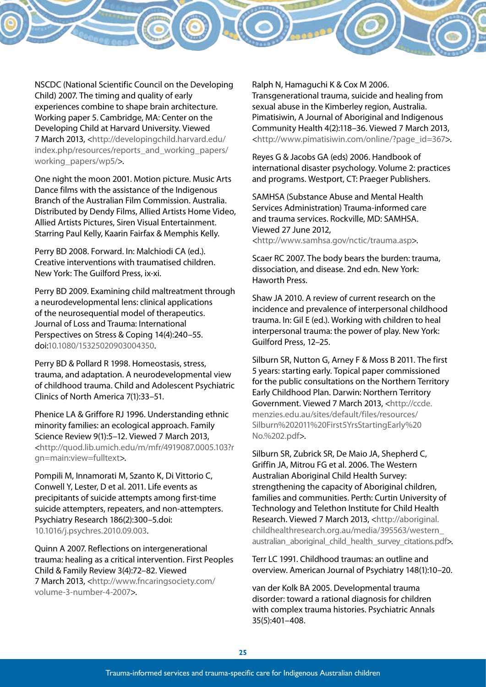NSCDC (National Scientific Council on the Developing Child) 2007. The timing and quality of early experiences combine to shape brain architecture. Working paper 5. Cambridge, MA: Center on the Developing Child at Harvard University. Viewed 7 March 2013, <http://developingchild.harvard.edu/ index.php/resources/reports\_and\_working\_papers/ working\_papers/wp5/>.

One night the moon 2001. Motion picture. Music Arts Dance films with the assistance of the Indigenous Branch of the Australian Film Commission. Australia. Distributed by Dendy Films, Allied Artists Home Video, Allied Artists Pictures, Siren Visual Entertainment. Starring Paul Kelly, Kaarin Fairfax & Memphis Kelly.

Perry BD 2008. Forward. In: Malchiodi CA (ed.). Creative interventions with traumatised children. New York: The Guilford Press, ix-xi.

Perry BD 2009. Examining child maltreatment through a neurodevelopmental lens: clinical applications of the neurosequential model of therapeutics. Journal of Loss and Trauma: International Perspectives on Stress & Coping 14(4):240–55. doi:10.1080/15325020903004350.

Perry BD & Pollard R 1998. Homeostasis, stress, trauma, and adaptation. A neurodevelopmental view of childhood trauma. Child and Adolescent Psychiatric Clinics of North America 7(1):33–51.

Phenice LA & Griffore RJ 1996. Understanding ethnic minority families: an ecological approach. Family Science Review 9(1):5–12. Viewed 7 March 2013, <http://quod.lib.umich.edu/m/mfr/4919087.0005.103?r gn=main:view=fulltext>.

Pompili M, Innamorati M, Szanto K, Di Vittorio C, Conwell Y, Lester, D et al. 2011. Life events as precipitants of suicide attempts among first-time suicide attempters, repeaters, and non-attempters. Psychiatry Research 186(2):300–5.doi: 10.1016/j.psychres.2010.09.003.

Quinn A 2007. Reflections on intergenerational trauma: healing as a critical intervention. First Peoples Child & Family Review 3(4):72–82. Viewed 7 March 2013, <http://www.fncaringsociety.com/ volume-3-number-4-2007>.

Ralph N, Hamaguchi K & Cox M 2006. Transgenerational trauma, suicide and healing from sexual abuse in the Kimberley region, Australia. Pimatisiwin, A Journal of Aboriginal and Indigenous Community Health 4(2):118–36. Viewed 7 March 2013, <http://www.pimatisiwin.com/online/?page\_id=367>.

Reyes G & Jacobs GA (eds) 2006. Handbook of international disaster psychology. Volume 2: practices and programs. Westport, CT: Praeger Publishers.

SAMHSA (Substance Abuse and Mental Health Services Administration) Trauma-informed care and trauma services. Rockville, MD: SAMHSA. Viewed 27 June 2012,

<http://www.samhsa.gov/nctic/trauma.asp>.

Scaer RC 2007. The body bears the burden: trauma, dissociation, and disease. 2nd edn. New York: Haworth Press.

Shaw JA 2010. A review of current research on the incidence and prevalence of interpersonal childhood trauma. In: Gil E (ed.). Working with children to heal interpersonal trauma: the power of play. New York: Guilford Press, 12–25.

Silburn SR, Nutton G, Arney F & Moss B 2011. The first 5 years: starting early. Topical paper commissioned for the public consultations on the Northern Territory Early Childhood Plan. Darwin: Northern Territory Government. Viewed 7 March 2013, <http://ccde. menzies.edu.au/sites/default/files/resources/ Silburn%202011%20First5YrsStartingEarly%20 No.%202.pdf>.

Silburn SR, Zubrick SR, De Maio JA, Shepherd C, Griffin JA, Mitrou FG et al. 2006. The Western Australian Aboriginal Child Health Survey: strengthening the capacity of Aboriginal children, families and communities. Perth: Curtin University of Technology and Telethon Institute for Child Health Research. Viewed 7 March 2013, <http://aboriginal. childhealthresearch.org.au/media/395563/western\_ australian aboriginal child health survey citations.pdf>.

Terr LC 1991. Childhood traumas: an outline and overview. American Journal of Psychiatry 148(1):10–20.

van der Kolk BA 2005. Developmental trauma disorder: toward a rational diagnosis for children with complex trauma histories. Psychiatric Annals 35(5):401–408.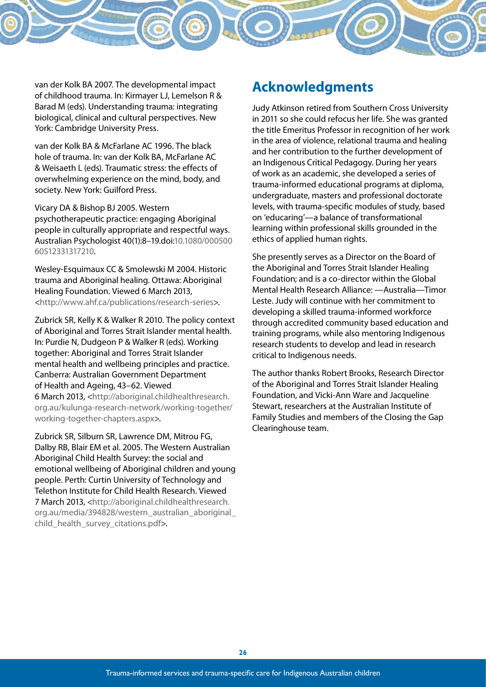van der Kolk BA 2007. The developmental impact of childhood trauma. In: Kirmayer LJ, Lemelson R & Barad M (eds). Understanding trauma: integrating biological, clinical and cultural perspectives. New York: Cambridge University Press.

van der Kolk BA & McFarlane AC 1996. The black hole of trauma. In: van der Kolk BA, McFarlane AC & Weisaeth L (eds). Traumatic stress: the effects of overwhelming experience on the mind, body, and society. New York: Guilford Press.

Vicary DA & Bishop BJ 2005. Western

psychotherapeutic practice: engaging Aboriginal people in culturally appropriate and respectful ways. Australian Psychologist 40(1):8–19.doi:10.1080/000500 60512331317210.

Wesley-Esquimaux CC & Smolewski M 2004. Historic trauma and Aboriginal healing. Ottawa: Aboriginal Healing Foundation. Viewed 6 March 2013, <http://www.ahf.ca/publications/research-series>.

Zubrick SR, Kelly K & Walker R 2010. The policy context of Aboriginal and Torres Strait Islander mental health. In: Purdie N, Dudgeon P & Walker R (eds). Working together: Aboriginal and Torres Strait Islander mental health and wellbeing principles and practice. Canberra: Australian Government Department of Health and Ageing, 43–62. Viewed 6 March 2013, <http://aboriginal.childhealthresearch.

org.au/kulunga-research-network/working-together/ working-together-chapters.aspx>.

Zubrick SR, Silburn SR, Lawrence DM, Mitrou FG, Dalby RB, Blair EM et al. 2005. The Western Australian Aboriginal Child Health Survey: the social and emotional wellbeing of Aboriginal children and young people. Perth: Curtin University of Technology and Telethon Institute for Child Health Research. Viewed 7 March 2013, <http://aboriginal.childhealthresearch. org.au/media/394828/western\_australian\_aboriginal\_ child health survey citations.pdf>.

## **Acknowledgments**

Judy Atkinson retired from Southern Cross University in 2011 so she could refocus her life. She was granted the title Emeritus Professor in recognition of her work in the area of violence, relational trauma and healing and her contribution to the further development of an Indigenous Critical Pedagogy. During her years of work as an academic, she developed a series of trauma-informed educational programs at diploma, undergraduate, masters and professional doctorate levels, with trauma-specific modules of study, based on 'educaring'—a balance of transformational learning within professional skills grounded in the ethics of applied human rights.

She presently serves as a Director on the Board of the Aboriginal and Torres Strait Islander Healing Foundation; and is a co-director within the Global Mental Health Research Alliance: —Australia—Timor Leste. Judy will continue with her commitment to developing a skilled trauma-informed workforce through accredited community based education and training programs, while also mentoring Indigenous research students to develop and lead in research critical to Indigenous needs.

The author thanks Robert Brooks, Research Director of the Aboriginal and Torres Strait Islander Healing Foundation, and Vicki-Ann Ware and Jacqueline Stewart, researchers at the Australian Institute of Family Studies and members of the Closing the Gap Clearinghouse team.